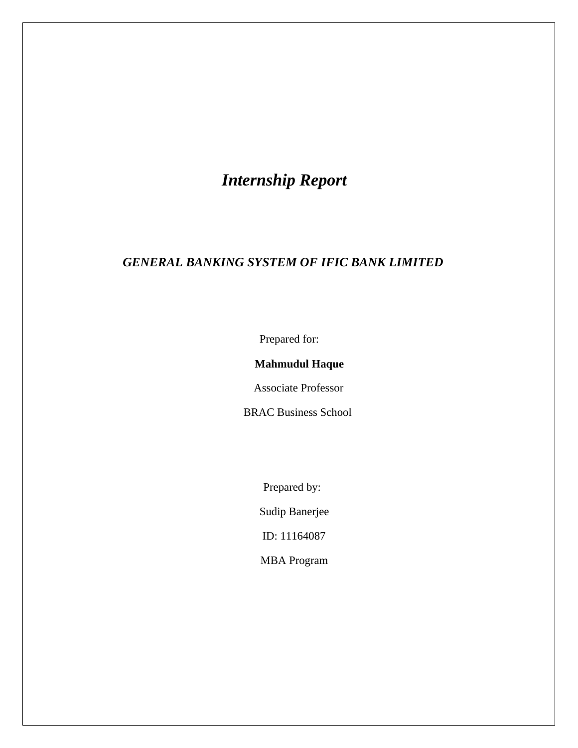# *Internship Report*

## *GENERAL BANKING SYSTEM OF IFIC BANK LIMITED*

Prepared for:

#### **Mahmudul Haque**

Associate Professor

BRAC Business School

Prepared by:

Sudip Banerjee

ID: 11164087

MBA Program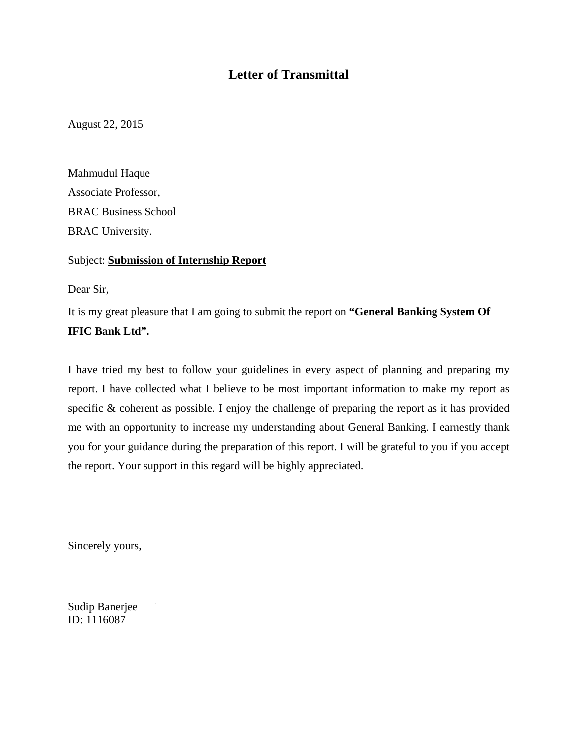## **Letter of Transmittal**

August 22, 2015

Mahmudul Haque Associate Professor, BRAC Business School BRAC University.

#### Subject: **Submission of Internship Report**

Dear Sir,

It is my great pleasure that I am going to submit the report on **"General Banking System Of IFIC Bank Ltd".**

I have tried my best to follow your guidelines in every aspect of planning and preparing my report. I have collected what I believe to be most important information to make my report as specific & coherent as possible. I enjoy the challenge of preparing the report as it has provided me with an opportunity to increase my understanding about General Banking. I earnestly thank you for your guidance during the preparation of this report. I will be grateful to you if you accept the report. Your support in this regard will be highly appreciated.

Sincerely yours,

Sudip Banerjee ID: 1116087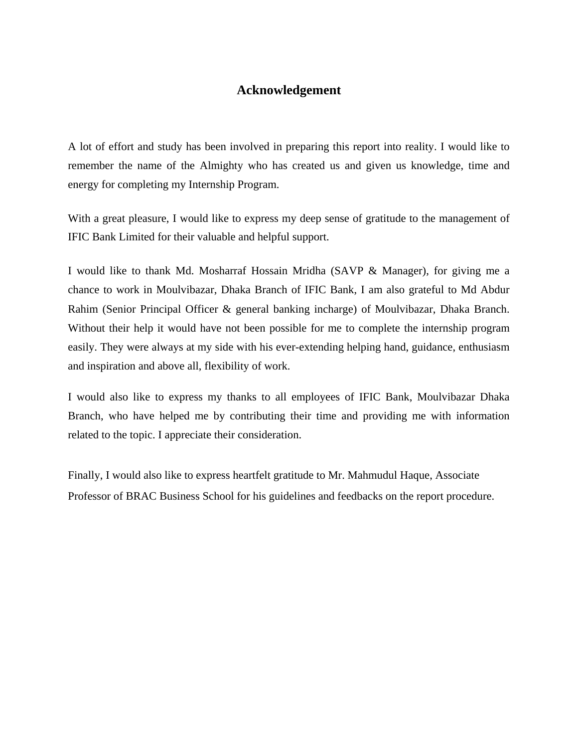## **Acknowledgement**

A lot of effort and study has been involved in preparing this report into reality. I would like to remember the name of the Almighty who has created us and given us knowledge, time and energy for completing my Internship Program.

With a great pleasure, I would like to express my deep sense of gratitude to the management of IFIC Bank Limited for their valuable and helpful support.

I would like to thank Md. Mosharraf Hossain Mridha (SAVP & Manager), for giving me a chance to work in Moulvibazar, Dhaka Branch of IFIC Bank, I am also grateful to Md Abdur Rahim (Senior Principal Officer & general banking incharge) of Moulvibazar, Dhaka Branch. Without their help it would have not been possible for me to complete the internship program easily. They were always at my side with his ever-extending helping hand, guidance, enthusiasm and inspiration and above all, flexibility of work.

I would also like to express my thanks to all employees of IFIC Bank, Moulvibazar Dhaka Branch, who have helped me by contributing their time and providing me with information related to the topic. I appreciate their consideration.

Finally, I would also like to express heartfelt gratitude to Mr. Mahmudul Haque, Associate Professor of BRAC Business School for his guidelines and feedbacks on the report procedure.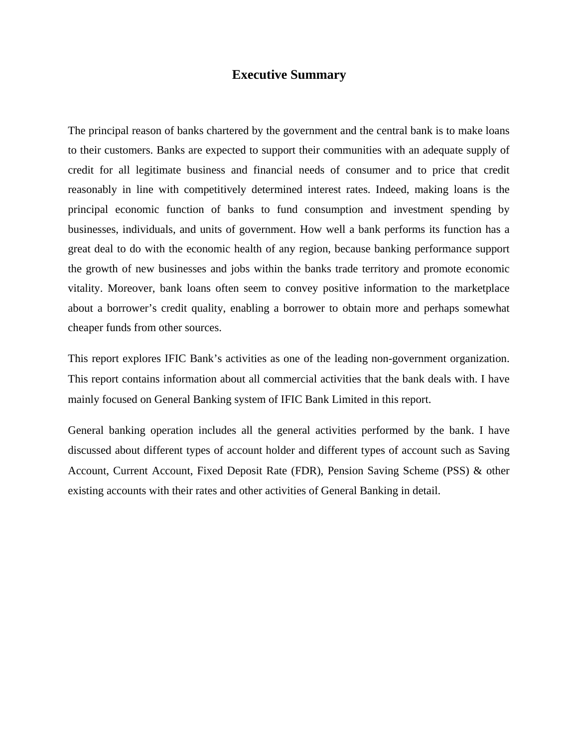#### **Executive Summary**

The principal reason of banks chartered by the government and the central bank is to make loans to their customers. Banks are expected to support their communities with an adequate supply of credit for all legitimate business and financial needs of consumer and to price that credit reasonably in line with competitively determined interest rates. Indeed, making loans is the principal economic function of banks to fund consumption and investment spending by businesses, individuals, and units of government. How well a bank performs its function has a great deal to do with the economic health of any region, because banking performance support the growth of new businesses and jobs within the banks trade territory and promote economic vitality. Moreover, bank loans often seem to convey positive information to the marketplace about a borrower's credit quality, enabling a borrower to obtain more and perhaps somewhat cheaper funds from other sources.

This report explores IFIC Bank's activities as one of the leading non-government organization. This report contains information about all commercial activities that the bank deals with. I have mainly focused on General Banking system of IFIC Bank Limited in this report.

General banking operation includes all the general activities performed by the bank. I have discussed about different types of account holder and different types of account such as Saving Account, Current Account, Fixed Deposit Rate (FDR), Pension Saving Scheme (PSS) & other existing accounts with their rates and other activities of General Banking in detail.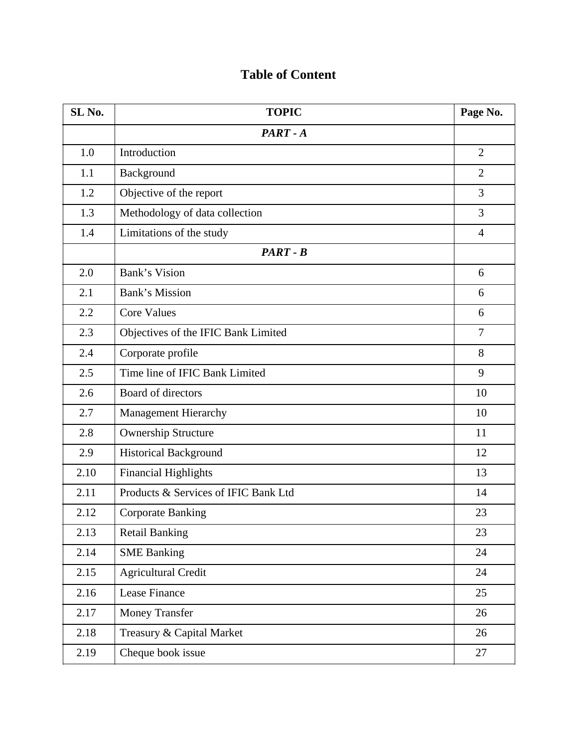# **SL No. TOPIC Page No.***PART - A*1.0 Introduction 2 1.1 Background 2 1.2 Objective of the report 3 1.3 Methodology of data collection 3 1.4 | Limitations of the study 4 *PART - B*2.0 **Bank's Vision** 6 2.1 Bank's Mission 6 2.2 Core Values 6 2.3 Objectives of the IFIC Bank Limited 7 2.4 Corporate profile 8 2.5 Time line of IFIC Bank Limited 9 2.6 Board of directors 10 2.7 | Management Hierarchy 10 2.8 Ownership Structure 11 2.9 Historical Background 12 2.10 Financial Highlights 13 2.11 Products & Services of IFIC Bank Ltd 14 2.12 Corporate Banking 23 2.13 Retail Banking 23 2.14 SME Banking 24 2.15 Agricultural Credit 24 2.16 Lease Finance 25 2.17 | Money Transfer 26 2.18 Treasury & Capital Market 26 2.19 Cheque book issue 27

## **Table of Content**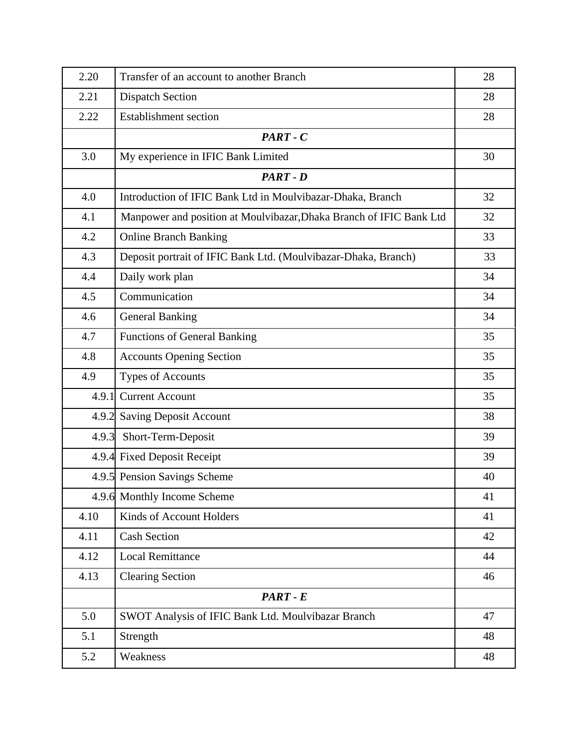| 2.20  | Transfer of an account to another Branch                            | 28 |
|-------|---------------------------------------------------------------------|----|
| 2.21  | <b>Dispatch Section</b>                                             | 28 |
| 2.22  | <b>Establishment section</b>                                        | 28 |
|       | $PART - C$                                                          |    |
| 3.0   | My experience in IFIC Bank Limited                                  | 30 |
|       | PART - D                                                            |    |
| 4.0   | Introduction of IFIC Bank Ltd in Moulvibazar-Dhaka, Branch          | 32 |
| 4.1   | Manpower and position at Moulvibazar, Dhaka Branch of IFIC Bank Ltd | 32 |
| 4.2   | <b>Online Branch Banking</b>                                        | 33 |
| 4.3   | Deposit portrait of IFIC Bank Ltd. (Moulvibazar-Dhaka, Branch)      | 33 |
| 4.4   | Daily work plan                                                     | 34 |
| 4.5   | Communication                                                       | 34 |
| 4.6   | <b>General Banking</b>                                              | 34 |
| 4.7   | <b>Functions of General Banking</b>                                 | 35 |
| 4.8   | <b>Accounts Opening Section</b>                                     | 35 |
| 4.9   | <b>Types of Accounts</b>                                            | 35 |
| 4.9.1 | <b>Current Account</b>                                              | 35 |
| 4.9.2 | <b>Saving Deposit Account</b>                                       | 38 |
| 4.9.3 | Short-Term-Deposit                                                  | 39 |
|       | 4.9.4 Fixed Deposit Receipt                                         | 39 |
|       | 4.9.5 Pension Savings Scheme                                        | 40 |
|       | 4.9.6 Monthly Income Scheme                                         | 41 |
| 4.10  | Kinds of Account Holders                                            | 41 |
| 4.11  | <b>Cash Section</b>                                                 | 42 |
| 4.12  | <b>Local Remittance</b>                                             | 44 |
| 4.13  | <b>Clearing Section</b>                                             | 46 |
|       | PART - E                                                            |    |
| 5.0   | SWOT Analysis of IFIC Bank Ltd. Moulvibazar Branch                  | 47 |
| 5.1   | Strength                                                            | 48 |
| 5.2   | Weakness                                                            | 48 |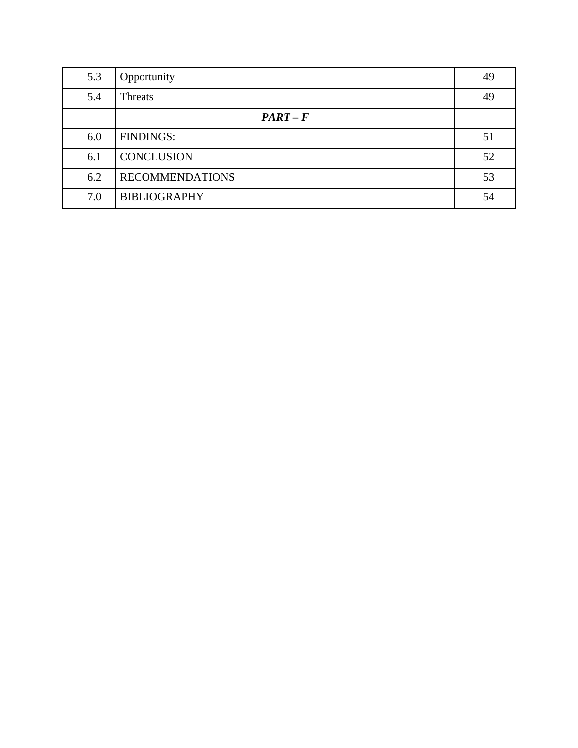| 5.3 | Opportunity            | 49 |
|-----|------------------------|----|
| 5.4 | <b>Threats</b>         | 49 |
|     | $PART-F$               |    |
| 6.0 | <b>FINDINGS:</b>       | 51 |
| 6.1 | <b>CONCLUSION</b>      | 52 |
| 6.2 | <b>RECOMMENDATIONS</b> | 53 |
| 7.0 | <b>BIBLIOGRAPHY</b>    | 54 |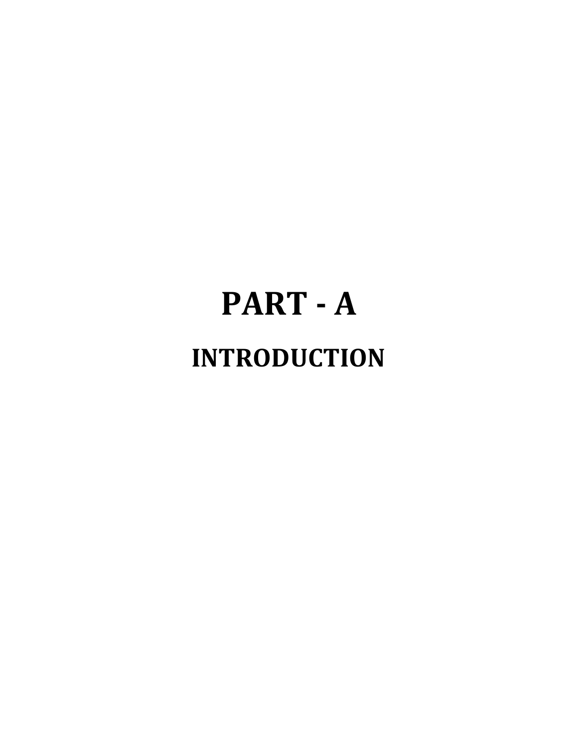# **PART ‐ A INTRODUCTION**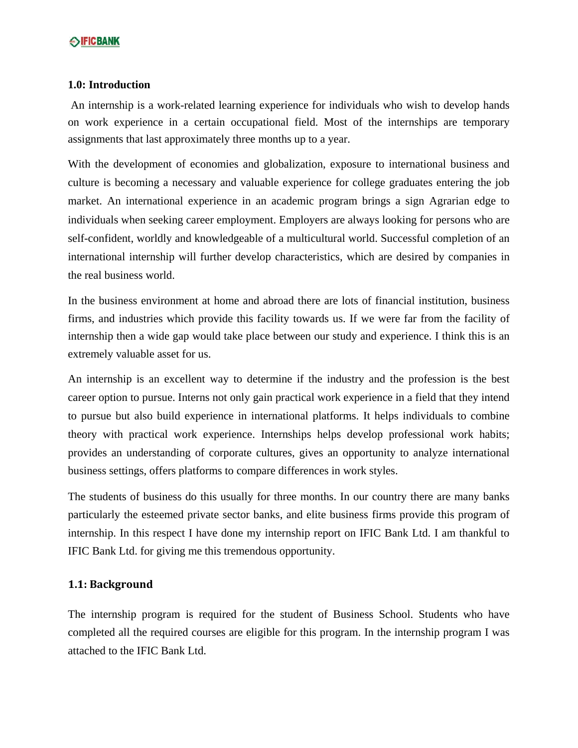#### **1.0: Introduction**

An internship is a work-related learning experience for individuals who wish to develop hands on work experience in a certain occupational field. Most of the internships are temporary assignments that last approximately three months up to a year.

With the development of economies and globalization, exposure to international business and culture is becoming a necessary and valuable experience for college graduates entering the job market. An international experience in an academic program brings a sign Agrarian edge to individuals when seeking career employment. Employers are always looking for persons who are self-confident, worldly and knowledgeable of a multicultural world. Successful completion of an international internship will further develop characteristics, which are desired by companies in the real business world.

In the business environment at home and abroad there are lots of financial institution, business firms, and industries which provide this facility towards us. If we were far from the facility of internship then a wide gap would take place between our study and experience. I think this is an extremely valuable asset for us.

An internship is an excellent way to determine if the industry and the profession is the best career option to pursue. Interns not only gain practical work experience in a field that they intend to pursue but also build experience in international platforms. It helps individuals to combine theory with practical work experience. Internships helps develop professional work habits; provides an understanding of corporate cultures, gives an opportunity to analyze international business settings, offers platforms to compare differences in work styles.

The students of business do this usually for three months. In our country there are many banks particularly the esteemed private sector banks, and elite business firms provide this program of internship. In this respect I have done my internship report on IFIC Bank Ltd. I am thankful to IFIC Bank Ltd. for giving me this tremendous opportunity.

#### **1.1: Background**

The internship program is required for the student of Business School. Students who have completed all the required courses are eligible for this program. In the internship program I was attached to the IFIC Bank Ltd.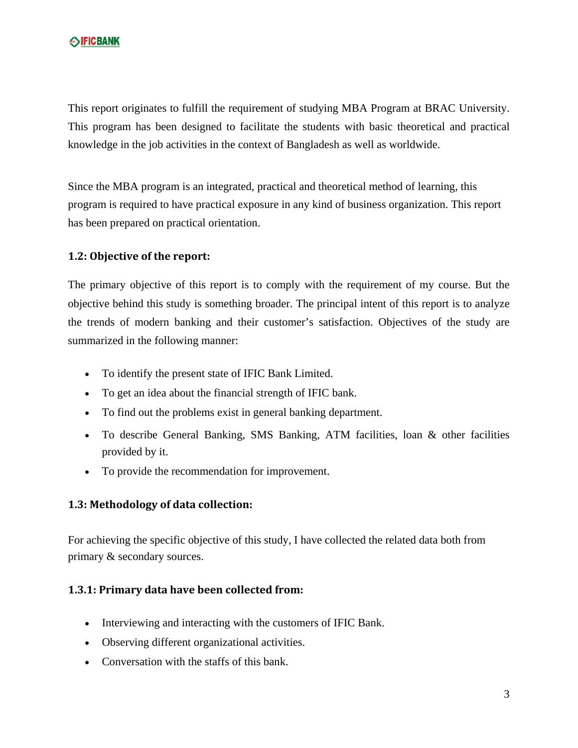This report originates to fulfill the requirement of studying MBA Program at BRAC University. This program has been designed to facilitate the students with basic theoretical and practical knowledge in the job activities in the context of Bangladesh as well as worldwide.

Since the MBA program is an integrated, practical and theoretical method of learning, this program is required to have practical exposure in any kind of business organization. This report has been prepared on practical orientation.

#### **1.2: Objective of the report:**

The primary objective of this report is to comply with the requirement of my course. But the objective behind this study is something broader. The principal intent of this report is to analyze the trends of modern banking and their customer's satisfaction. Objectives of the study are summarized in the following manner:

- To identify the present state of IFIC Bank Limited.
- To get an idea about the financial strength of IFIC bank.
- To find out the problems exist in general banking department.
- To describe General Banking, SMS Banking, ATM facilities, loan & other facilities provided by it.
- To provide the recommendation for improvement.

#### **1.3: Methodology of data collection:**

For achieving the specific objective of this study, I have collected the related data both from primary & secondary sources.

#### **1.3.1: Primary data have been collected from:**

- Interviewing and interacting with the customers of IFIC Bank.
- Observing different organizational activities.
- Conversation with the staffs of this bank.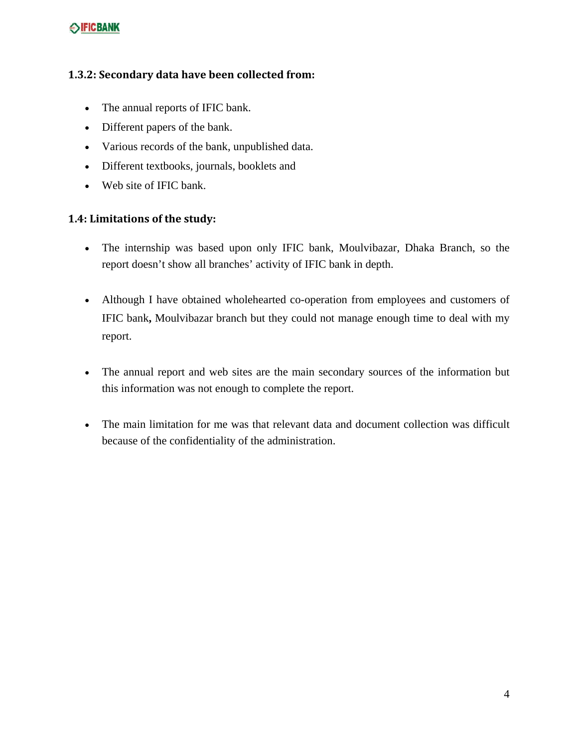#### **1.3.2: Secondary data have been collected from:**

- The annual reports of IFIC bank.
- Different papers of the bank.
- Various records of the bank, unpublished data.
- Different textbooks, journals, booklets and
- Web site of IFIC bank.

#### **1.4: Limitations of the study:**

- The internship was based upon only IFIC bank, Moulvibazar, Dhaka Branch, so the report doesn't show all branches' activity of IFIC bank in depth.
- Although I have obtained wholehearted co-operation from employees and customers of IFIC bank**,** Moulvibazar branch but they could not manage enough time to deal with my report.
- The annual report and web sites are the main secondary sources of the information but this information was not enough to complete the report.
- The main limitation for me was that relevant data and document collection was difficult because of the confidentiality of the administration.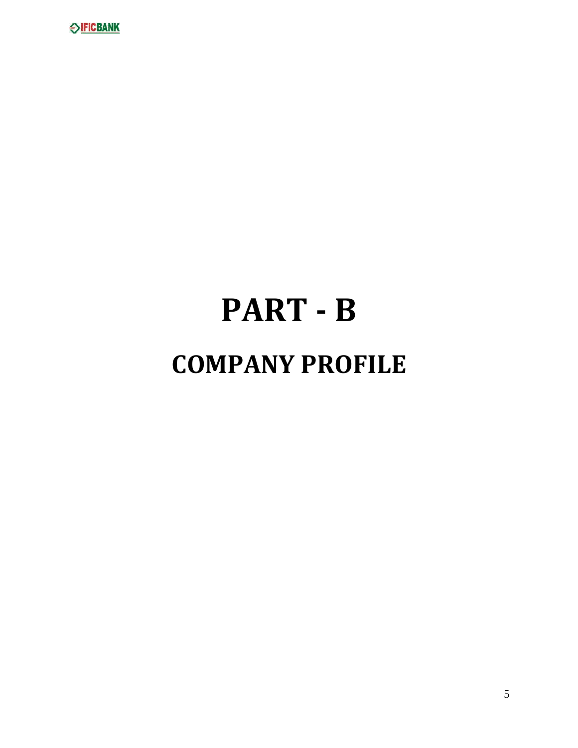

# **PART ‐ B COMPANY PROFILE**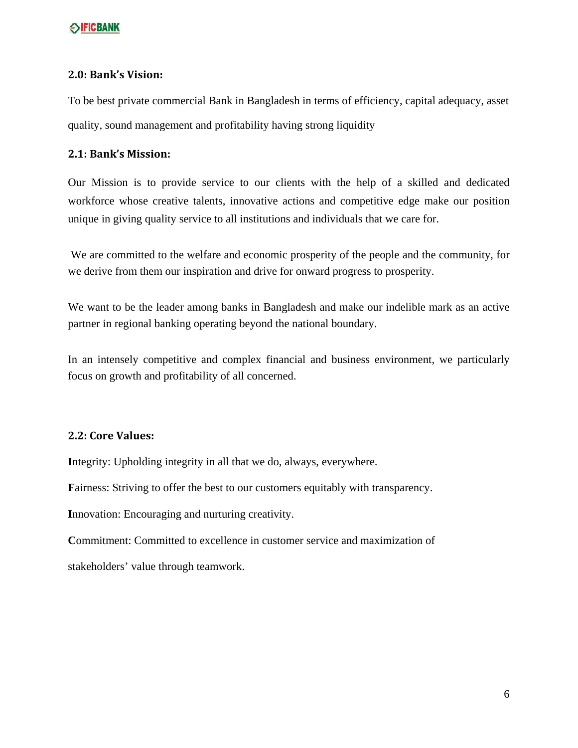#### **2.0: Bank's Vision:**

To be best private commercial Bank in Bangladesh in terms of efficiency, capital adequacy, asset quality, sound management and profitability having strong liquidity

#### **2.1: Bank's Mission:**

Our Mission is to provide service to our clients with the help of a skilled and dedicated workforce whose creative talents, innovative actions and competitive edge make our position unique in giving quality service to all institutions and individuals that we care for.

We are committed to the welfare and economic prosperity of the people and the community, for we derive from them our inspiration and drive for onward progress to prosperity.

We want to be the leader among banks in Bangladesh and make our indelible mark as an active partner in regional banking operating beyond the national boundary.

In an intensely competitive and complex financial and business environment, we particularly focus on growth and profitability of all concerned.

#### **2.2: Core Values:**

**I**ntegrity: Upholding integrity in all that we do, always, everywhere.

**F**airness: Striving to offer the best to our customers equitably with transparency.

**I**nnovation: Encouraging and nurturing creativity.

**C**ommitment: Committed to excellence in customer service and maximization of stakeholders' value through teamwork.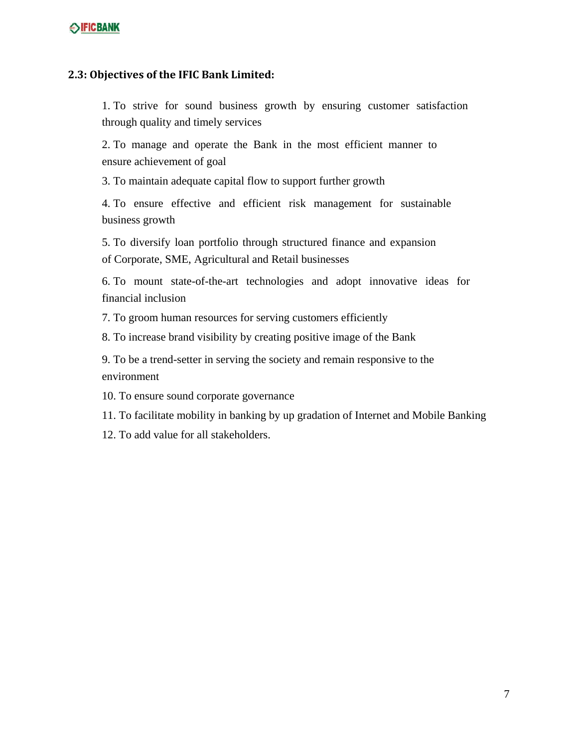#### **2.3: Objectives of the IFIC Bank Limited:**

1. To strive for sound business growth by ensuring customer satisfaction through quality and timely services

2. To manage and operate the Bank in the most efficient manner to ensure achievement of goal

3. To maintain adequate capital flow to support further growth

4. To ensure effective and efficient risk management for sustainable business growth

5. To diversify loan portfolio through structured finance and expansion of Corporate, SME, Agricultural and Retail businesses

6. To mount state-of-the-art technologies and adopt innovative ideas for financial inclusion

7. To groom human resources for serving customers efficiently

8. To increase brand visibility by creating positive image of the Bank

9. To be a trend-setter in serving the society and remain responsive to the environment

10. To ensure sound corporate governance

11. To facilitate mobility in banking by up gradation of Internet and Mobile Banking

12. To add value for all stakeholders.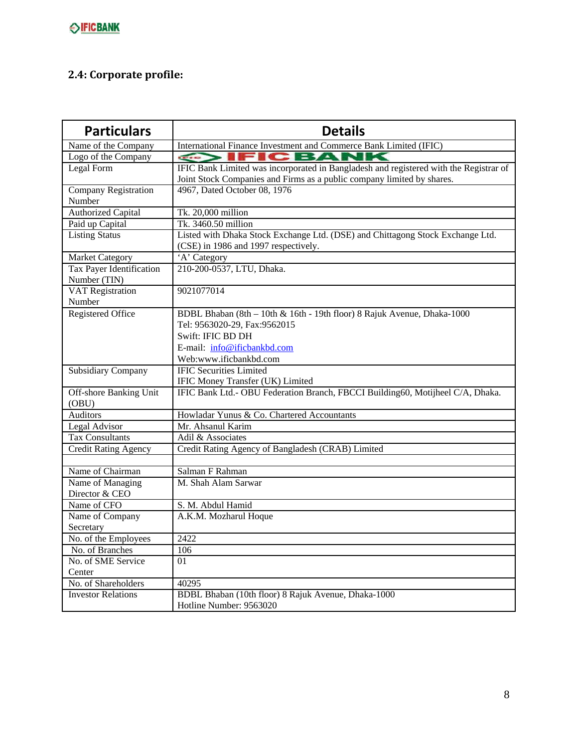# **2.4: Corporate profile:**

| <b>Particulars</b>                       | <b>Details</b>                                                                                                         |
|------------------------------------------|------------------------------------------------------------------------------------------------------------------------|
| Name of the Company                      | International Finance Investment and Commerce Bank Limited (IFIC)                                                      |
| Logo of the Company                      | <b>IFICBANK</b><br>$\left  \frac{1}{\sqrt{1+\frac{1}{2}}}\right $                                                      |
| Legal Form                               | IFIC Bank Limited was incorporated in Bangladesh and registered with the Registrar of                                  |
|                                          | Joint Stock Companies and Firms as a public company limited by shares.                                                 |
| <b>Company Registration</b>              | 4967, Dated October 08, 1976                                                                                           |
| Number                                   |                                                                                                                        |
| <b>Authorized Capital</b>                | Tk. 20,000 million                                                                                                     |
| Paid up Capital                          | Tk. 3460.50 million                                                                                                    |
| <b>Listing Status</b>                    | Listed with Dhaka Stock Exchange Ltd. (DSE) and Chittagong Stock Exchange Ltd.<br>(CSE) in 1986 and 1997 respectively. |
| <b>Market Category</b>                   | 'A' Category                                                                                                           |
| Tax Payer Identification<br>Number (TIN) | 210-200-0537, LTU, Dhaka.                                                                                              |
| <b>VAT Registration</b><br>Number        | 9021077014                                                                                                             |
| Registered Office                        | BDBL Bhaban (8th - 10th & 16th - 19th floor) 8 Rajuk Avenue, Dhaka-1000                                                |
|                                          | Tel: 9563020-29, Fax:9562015                                                                                           |
|                                          | Swift: IFIC BD DH                                                                                                      |
|                                          | E-mail: info@ificbankbd.com                                                                                            |
|                                          | Web:www.ificbankbd.com                                                                                                 |
| <b>Subsidiary Company</b>                | <b>IFIC Securities Limited</b>                                                                                         |
|                                          | IFIC Money Transfer (UK) Limited                                                                                       |
| Off-shore Banking Unit<br>(OBU)          | IFIC Bank Ltd.- OBU Federation Branch, FBCCI Building60, Motijheel C/A, Dhaka.                                         |
| <b>Auditors</b>                          | Howladar Yunus & Co. Chartered Accountants                                                                             |
| Legal Advisor                            | Mr. Ahsanul Karim                                                                                                      |
| <b>Tax Consultants</b>                   | Adil & Associates                                                                                                      |
| <b>Credit Rating Agency</b>              | Credit Rating Agency of Bangladesh (CRAB) Limited                                                                      |
|                                          |                                                                                                                        |
| Name of Chairman                         | Salman F Rahman                                                                                                        |
| Name of Managing                         | M. Shah Alam Sarwar                                                                                                    |
| Director & CEO                           |                                                                                                                        |
| Name of CFO                              | S. M. Abdul Hamid                                                                                                      |
| Name of Company                          | A.K.M. Mozharul Hoque                                                                                                  |
| Secretary                                |                                                                                                                        |
| No. of the Employees                     | 2422                                                                                                                   |
| No. of Branches                          | 106                                                                                                                    |
| No. of SME Service<br>Center             | 01                                                                                                                     |
| No. of Shareholders                      | 40295                                                                                                                  |
| <b>Investor Relations</b>                | BDBL Bhaban (10th floor) 8 Rajuk Avenue, Dhaka-1000                                                                    |
|                                          | Hotline Number: 9563020                                                                                                |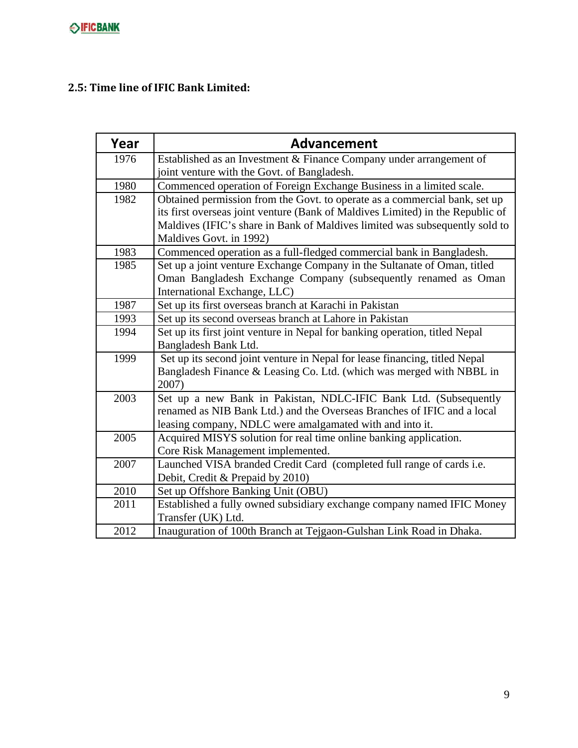## **2.5: Time line of IFIC Bank Limited:**

| Year | <b>Advancement</b>                                                                                                 |
|------|--------------------------------------------------------------------------------------------------------------------|
| 1976 | Established as an Investment & Finance Company under arrangement of<br>joint venture with the Govt. of Bangladesh. |
| 1980 | Commenced operation of Foreign Exchange Business in a limited scale.                                               |
| 1982 | Obtained permission from the Govt. to operate as a commercial bank, set up                                         |
|      | its first overseas joint venture (Bank of Maldives Limited) in the Republic of                                     |
|      | Maldives (IFIC's share in Bank of Maldives limited was subsequently sold to                                        |
|      | Maldives Govt. in 1992)                                                                                            |
| 1983 | Commenced operation as a full-fledged commercial bank in Bangladesh.                                               |
| 1985 | Set up a joint venture Exchange Company in the Sultanate of Oman, titled                                           |
|      | Oman Bangladesh Exchange Company (subsequently renamed as Oman                                                     |
|      | International Exchange, LLC)                                                                                       |
| 1987 | Set up its first overseas branch at Karachi in Pakistan                                                            |
| 1993 | Set up its second overseas branch at Lahore in Pakistan                                                            |
| 1994 | Set up its first joint venture in Nepal for banking operation, titled Nepal                                        |
|      | Bangladesh Bank Ltd.                                                                                               |
| 1999 | Set up its second joint venture in Nepal for lease financing, titled Nepal                                         |
|      | Bangladesh Finance & Leasing Co. Ltd. (which was merged with NBBL in                                               |
|      | 2007)                                                                                                              |
| 2003 | Set up a new Bank in Pakistan, NDLC-IFIC Bank Ltd. (Subsequently                                                   |
|      | renamed as NIB Bank Ltd.) and the Overseas Branches of IFIC and a local                                            |
|      | leasing company, NDLC were amalgamated with and into it.                                                           |
| 2005 | Acquired MISYS solution for real time online banking application.                                                  |
|      | Core Risk Management implemented.                                                                                  |
| 2007 | Launched VISA branded Credit Card (completed full range of cards i.e.                                              |
|      | Debit, Credit & Prepaid by 2010)                                                                                   |
| 2010 | Set up Offshore Banking Unit (OBU)                                                                                 |
| 2011 | Established a fully owned subsidiary exchange company named IFIC Money                                             |
|      | Transfer (UK) Ltd.                                                                                                 |
| 2012 | Inauguration of 100th Branch at Tejgaon-Gulshan Link Road in Dhaka.                                                |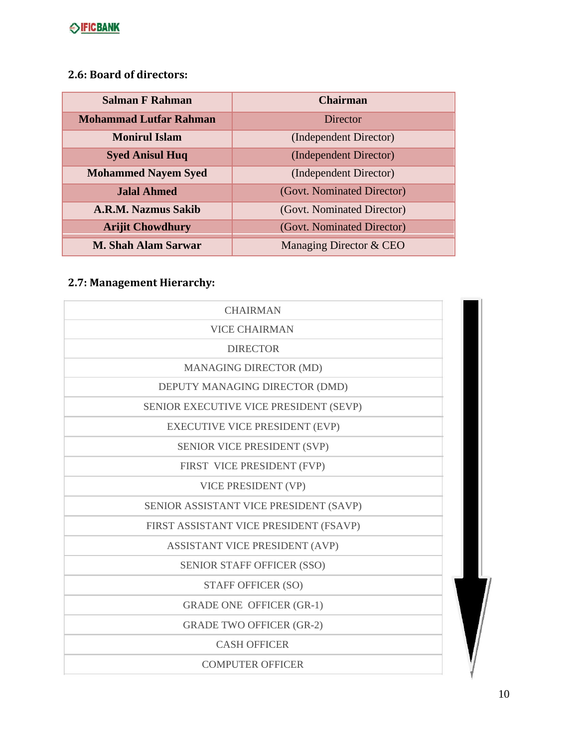## **2.6: Board of directors:**

| <b>Salman F Rahman</b>        | <b>Chairman</b>            |  |
|-------------------------------|----------------------------|--|
| <b>Mohammad Lutfar Rahman</b> | Director                   |  |
| <b>Monirul Islam</b>          | (Independent Director)     |  |
| <b>Syed Anisul Huq</b>        | (Independent Director)     |  |
| <b>Mohammed Nayem Syed</b>    | (Independent Director)     |  |
| <b>Jalal Ahmed</b>            | (Govt. Nominated Director) |  |
| A.R.M. Nazmus Sakib           | (Govt. Nominated Director) |  |
| <b>Arijit Chowdhury</b>       | (Govt. Nominated Director) |  |
| <b>M. Shah Alam Sarwar</b>    | Managing Director & CEO    |  |

# **2.7: Management Hierarchy:**

| <b>CHAIRMAN</b>                        |  |
|----------------------------------------|--|
| <b>VICE CHAIRMAN</b>                   |  |
| <b>DIRECTOR</b>                        |  |
| MANAGING DIRECTOR (MD)                 |  |
| DEPUTY MANAGING DIRECTOR (DMD)         |  |
| SENIOR EXECUTIVE VICE PRESIDENT (SEVP) |  |
| <b>EXECUTIVE VICE PRESIDENT (EVP)</b>  |  |
| SENIOR VICE PRESIDENT (SVP)            |  |
| FIRST VICE PRESIDENT (FVP)             |  |
| VICE PRESIDENT (VP)                    |  |
| SENIOR ASSISTANT VICE PRESIDENT (SAVP) |  |
| FIRST ASSISTANT VICE PRESIDENT (FSAVP) |  |
| ASSISTANT VICE PRESIDENT (AVP)         |  |
| <b>SENIOR STAFF OFFICER (SSO)</b>      |  |
| <b>STAFF OFFICER (SO)</b>              |  |
| <b>GRADE ONE OFFICER (GR-1)</b>        |  |
| <b>GRADE TWO OFFICER (GR-2)</b>        |  |
| <b>CASH OFFICER</b>                    |  |
| <b>COMPUTER OFFICER</b>                |  |
|                                        |  |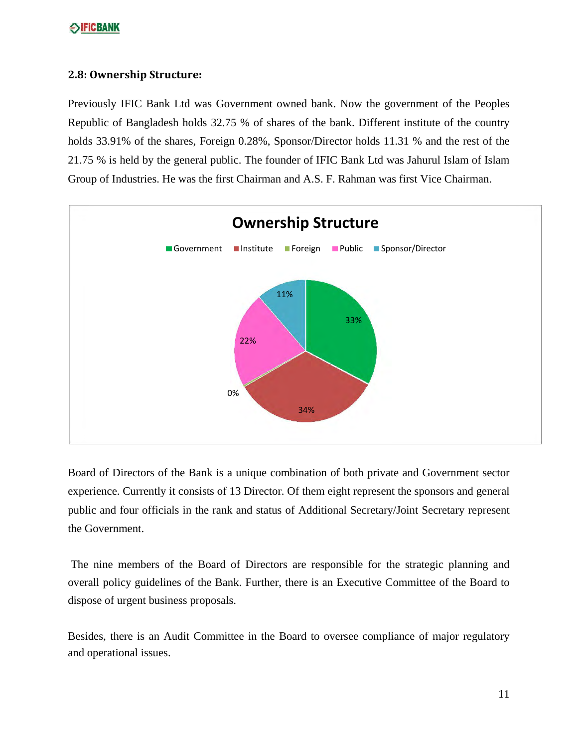#### **2.8: Ownership Structure:**

Previously IFIC Bank Ltd was Government owned bank. Now the government of the Peoples Republic of Bangladesh holds 32.75 % of shares of the bank. Different institute of the country holds 33.91% of the shares, Foreign 0.28%, Sponsor/Director holds 11.31 % and the rest of the 21.75 % is held by the general public. The founder of IFIC Bank Ltd was Jahurul Islam of Islam Group of Industries. He was the first Chairman and A.S. F. Rahman was first Vice Chairman.



Board of Directors of the Bank is a unique combination of both private and Government sector experience. Currently it consists of 13 Director. Of them eight represent the sponsors and general public and four officials in the rank and status of Additional Secretary/Joint Secretary represent the Government.

The nine members of the Board of Directors are responsible for the strategic planning and overall policy guidelines of the Bank. Further, there is an Executive Committee of the Board to dispose of urgent business proposals.

Besides, there is an Audit Committee in the Board to oversee compliance of major regulatory and operational issues.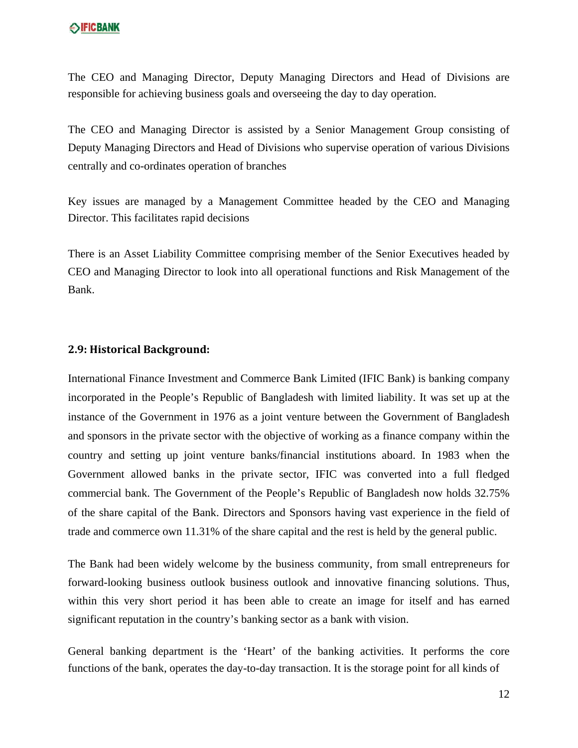The CEO and Managing Director, Deputy Managing Directors and Head of Divisions are responsible for achieving business goals and overseeing the day to day operation.

The CEO and Managing Director is assisted by a Senior Management Group consisting of Deputy Managing Directors and Head of Divisions who supervise operation of various Divisions centrally and co-ordinates operation of branches

Key issues are managed by a Management Committee headed by the CEO and Managing Director. This facilitates rapid decisions

There is an Asset Liability Committee comprising member of the Senior Executives headed by CEO and Managing Director to look into all operational functions and Risk Management of the Bank.

#### **2.9: Historical Background:**

International Finance Investment and Commerce Bank Limited (IFIC Bank) is banking company incorporated in the People's Republic of Bangladesh with limited liability. It was set up at the instance of the Government in 1976 as a joint venture between the Government of Bangladesh and sponsors in the private sector with the objective of working as a finance company within the country and setting up joint venture banks/financial institutions aboard. In 1983 when the Government allowed banks in the private sector, IFIC was converted into a full fledged commercial bank. The Government of the People's Republic of Bangladesh now holds 32.75% of the share capital of the Bank. Directors and Sponsors having vast experience in the field of trade and commerce own 11.31% of the share capital and the rest is held by the general public.

The Bank had been widely welcome by the business community, from small entrepreneurs for forward-looking business outlook business outlook and innovative financing solutions. Thus, within this very short period it has been able to create an image for itself and has earned significant reputation in the country's banking sector as a bank with vision.

General banking department is the 'Heart' of the banking activities. It performs the core functions of the bank, operates the day-to-day transaction. It is the storage point for all kinds of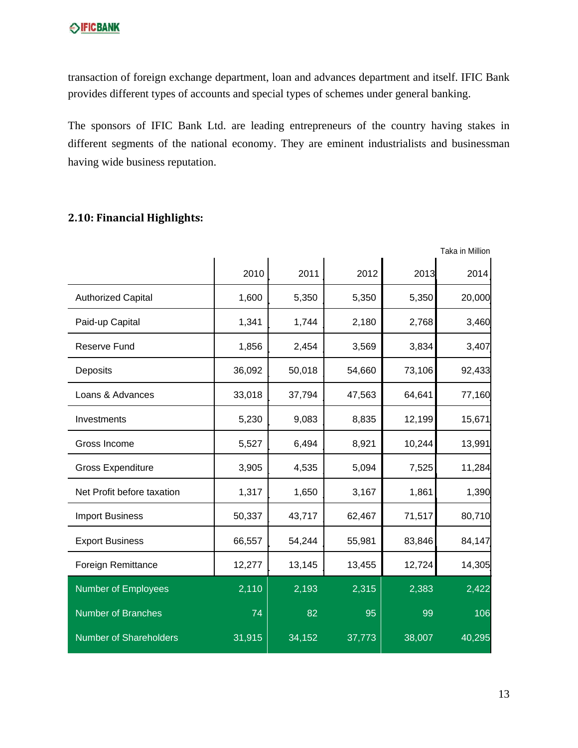transaction of foreign exchange department, loan and advances department and itself. IFIC Bank provides different types of accounts and special types of schemes under general banking.

The sponsors of IFIC Bank Ltd. are leading entrepreneurs of the country having stakes in different segments of the national economy. They are eminent industrialists and businessman having wide business reputation.

#### **2.10: Financial Highlights:**

|                               |        |        |        |        | Taka in Million |
|-------------------------------|--------|--------|--------|--------|-----------------|
|                               | 2010   | 2011   | 2012   | 2013   | 2014            |
| <b>Authorized Capital</b>     | 1,600  | 5,350  | 5,350  | 5,350  | 20,000          |
| Paid-up Capital               | 1,341  | 1,744  | 2,180  | 2,768  | 3,460           |
| <b>Reserve Fund</b>           | 1,856  | 2,454  | 3,569  | 3,834  | 3,407           |
| Deposits                      | 36,092 | 50,018 | 54,660 | 73,106 | 92,433          |
| Loans & Advances              | 33,018 | 37,794 | 47,563 | 64,641 | 77,160          |
| Investments                   | 5,230  | 9,083  | 8,835  | 12,199 | 15,671          |
| Gross Income                  | 5,527  | 6,494  | 8,921  | 10,244 | 13,991          |
| <b>Gross Expenditure</b>      | 3,905  | 4,535  | 5,094  | 7,525  | 11,284          |
| Net Profit before taxation    | 1,317  | 1,650  | 3,167  | 1,861  | 1,390           |
| <b>Import Business</b>        | 50,337 | 43,717 | 62,467 | 71,517 | 80,710          |
| <b>Export Business</b>        | 66,557 | 54,244 | 55,981 | 83,846 | 84,147          |
| <b>Foreign Remittance</b>     | 12,277 | 13,145 | 13,455 | 12,724 | 14,305          |
| <b>Number of Employees</b>    | 2,110  | 2,193  | 2,315  | 2,383  | 2,422           |
| <b>Number of Branches</b>     | 74     | 82     | 95     | 99     | 106             |
| <b>Number of Shareholders</b> | 31,915 | 34,152 | 37,773 | 38,007 | 40,295          |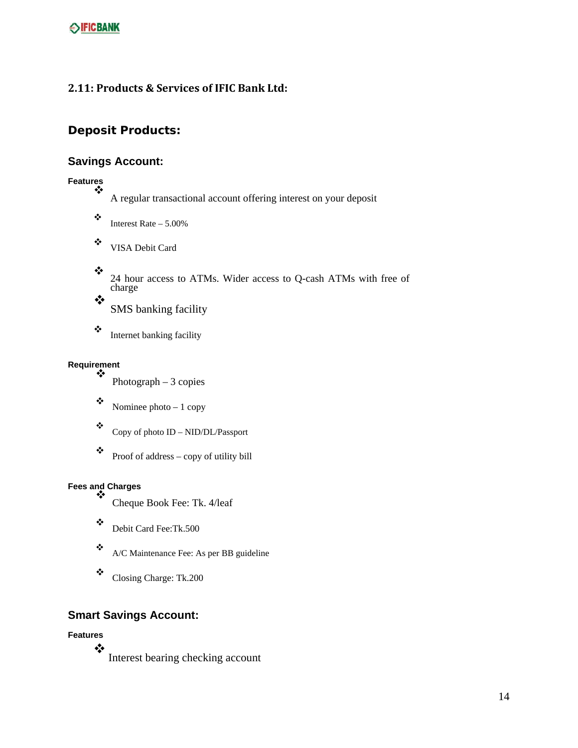#### **2.11: Products & Services of IFIC Bank Ltd:**

#### **Deposit Products:**

#### **Savings Account:**

**Features**

A regular transactional account offering interest on your deposit

- $\ddot{\bullet}$  Interest Rate 5.00%
- VISA Debit Card
- $\bullet^{\bullet}_{\bullet} \bullet$ 24 hour access to ATMs. Wider access to Q-cash ATMs with free of charge  $\frac{1}{2}$

SMS banking facility

 $\triangleq$  Internet banking facility

# **Requirement**

- Photograph 3 copies
- $\bullet$  Nominee photo 1 copy

 $\bullet$  Copy of photo ID – NID/DL/Passport

 $\bullet$  Proof of address – copy of utility bill

# **Fees and Charges**

- Cheque Book Fee: Tk. 4/leaf
- Debit Card Fee:Tk.500
- $\triangleleft$  A/C Maintenance Fee: As per BB guideline
- \* Closing Charge: Tk.200

## **Smart Savings Account:**

**Features**

❖ Interest bearing checking account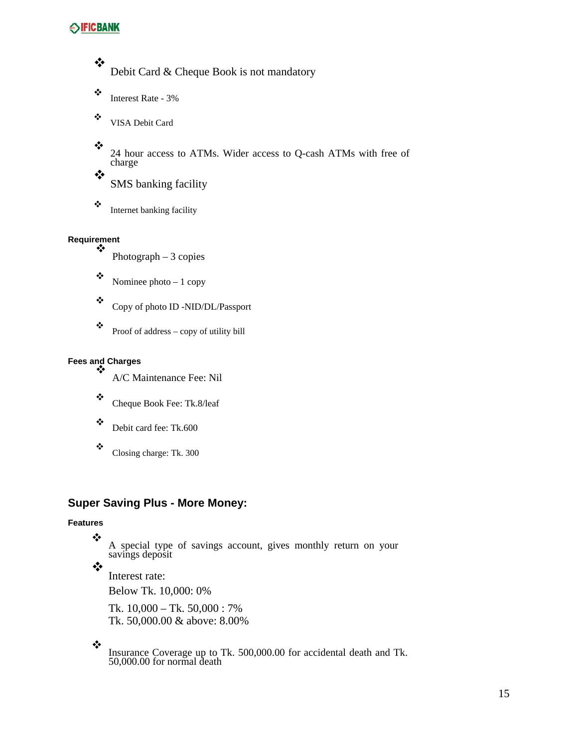❖ Debit Card & Cheque Book is not mandatory

- $\ddot{\bullet}$  Interest Rate 3%
- VISA Debit Card
- ❖ 24 hour access to ATMs. Wider access to Q-cash ATMs with free of charge ❖

SMS banking facility

- 
- $\triangle$  Internet banking facility

# **Requirement**

- Photograph 3 copies
- $\bullet$  Nominee photo 1 copy

Copy of photo ID -NID/DL/Passport

 $\bullet$  Proof of address – copy of utility bill

#### **Fees and Charges** ❖

A/C Maintenance Fee: Nil

- \* Cheque Book Fee: Tk.8/leaf
- Debit card fee: Tk.600
- \* Closing charge: Tk. 300

#### **Super Saving Plus - More Money:**

#### **Features**

❖

A special type of savings account, gives monthly return on your savings deposit

❖

Interest rate:

Below Tk. 10,000: 0%

Tk. 10,000 – Tk. 50,000 : 7% Tk. 50,000.00 & above: 8.00%

 $\cdot$ 

Insurance Coverage up to Tk. 500,000.00 for accidental death and Tk. 50,000.00 for normal death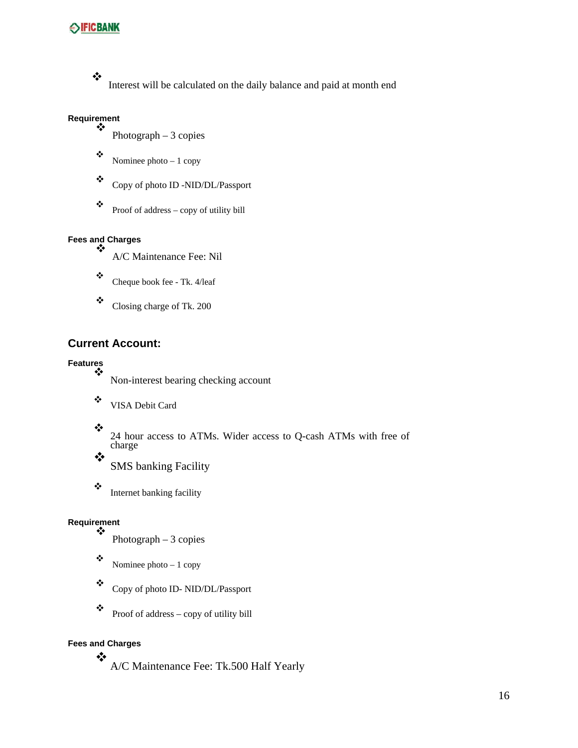#### $\ddot{\bullet}$

Interest will be calculated on the daily balance and paid at month end

#### **Requirement**  $\frac{1}{2}$

- Photograph 3 copies
- $\bullet$  Nominee photo 1 copy
- Copy of photo ID -NID/DL/Passport
- $\bullet$  Proof of address copy of utility bill

# **Fees and Charges**

- A/C Maintenance Fee: Nil
- $\bullet$  Cheque book fee Tk. 4/leaf
- $\ddot{\bullet}$  Closing charge of Tk. 200

#### **Current Account:**

#### **Features** ❖

- Non-interest bearing checking account
- VISA Debit Card
- $\bullet^{\bullet}_{\bullet} \bullet$
- 24 hour access to ATMs. Wider access to Q-cash ATMs with free of charge  $\bullet^{\bullet}_{\bullet} \bullet$ 
	- SMS banking Facility
- $\triangleq$  Internet banking facility

#### **Requirement** ❖

- Photograph  $-3$  copies
- $\bullet$  Nominee photo 1 copy
- Copy of photo ID- NID/DL/Passport
- $\bullet$  Proof of address copy of utility bill

#### **Fees and Charges** ❖

A/C Maintenance Fee: Tk.500 Half Yearly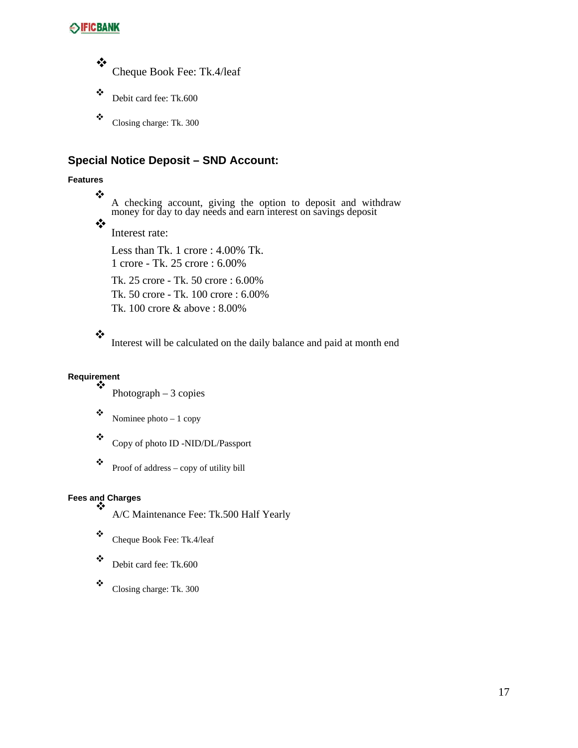❖ Cheque Book Fee: Tk.4/leaf

- Debit card fee: Tk.600
- $\ddot{\bullet}$  Closing charge: Tk. 300

#### **Special Notice Deposit – SND Account:**

#### **Features**

❖

A checking account, giving the option to deposit and withdraw money for day to day needs and earn interest on savings deposit

 $\frac{1}{2}$ 

Interest rate:

Less than Tk. 1 crore : 4.00% Tk. 1 crore - Tk. 25 crore : 6.00%

Tk. 25 crore - Tk. 50 crore : 6.00% Tk. 50 crore - Tk. 100 crore : 6.00% Tk. 100 crore & above : 8.00%

#### ❖

Interest will be calculated on the daily balance and paid at month end

# **Requirement**

- Photograph 3 copies
- $\bullet$  Nominee photo 1 copy

Copy of photo ID -NID/DL/Passport

 $\bullet$  Proof of address – copy of utility bill

#### **Fees and Charges** ❖

A/C Maintenance Fee: Tk.500 Half Yearly

- \* Cheque Book Fee: Tk.4/leaf
- Debit card fee: Tk.600
- $\ddot{\bullet}$  Closing charge: Tk. 300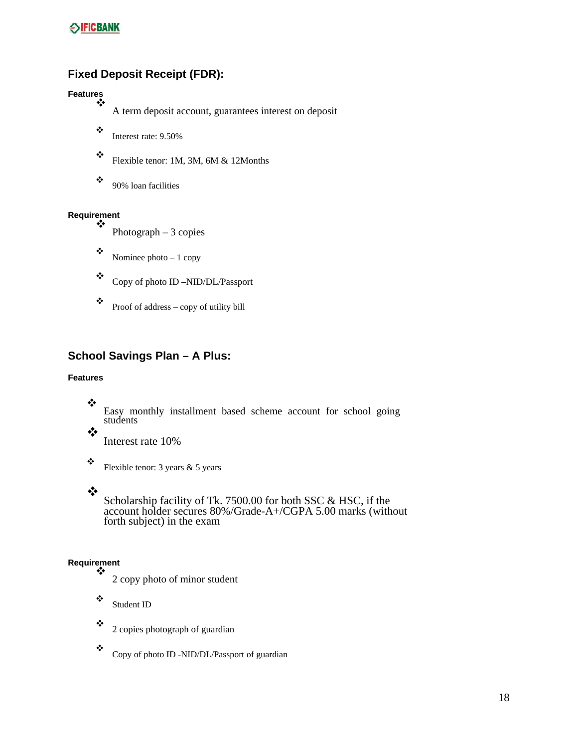## **Fixed Deposit Receipt (FDR):**

#### **Features**  $\cdot$

A term deposit account, guarantees interest on deposit

- $\ddot{\bullet}$  Interest rate: 9.50%
- $\ddot{\bullet}$  Flexible tenor: 1M, 3M, 6M & 12Months
- $\ddot{\bullet}$  90% loan facilities

#### **Requirement** ❖

- Photograph 3 copies
- $\bullet$  Nominee photo 1 copy
- Copy of photo ID –NID/DL/Passport
- $\bullet$  Proof of address copy of utility bill

#### **School Savings Plan – A Plus:**

#### **Features**

- ❖ Easy monthly installment based scheme account for school going students
- $\cdot$ Interest rate 10%
- $\ddot{\bullet}$  Flexible tenor: 3 years & 5 years

#### ❖

Scholarship facility of Tk. 7500.00 for both SSC & HSC, if the account holder secures 80%/Grade-A+/CGPA 5.00 marks (without forth subject) in the exam

#### **Requirement** ❖

- 2 copy photo of minor student
- Student ID
- $\ddot{\bullet}$  2 copies photograph of guardian
- Copy of photo ID -NID/DL/Passport of guardian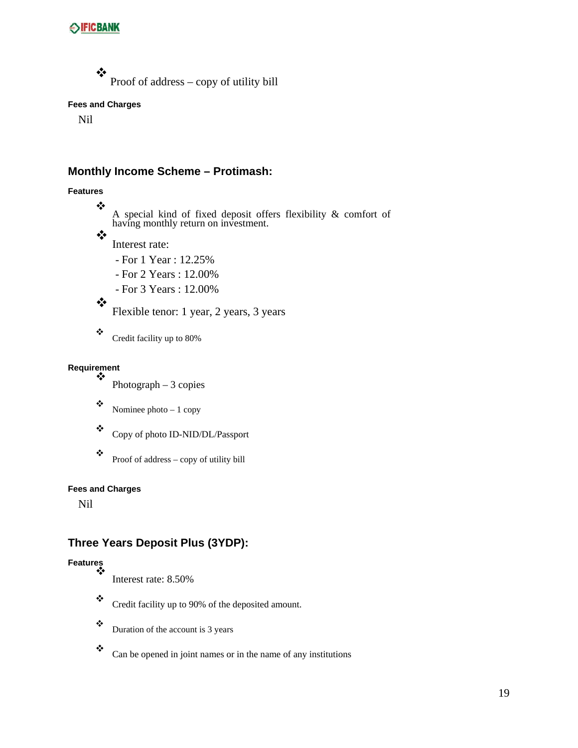❖ Proof of address – copy of utility bill

#### **Fees and Charges**

Nil

#### **Monthly Income Scheme – Protimash:**

#### **Features**

❖

A special kind of fixed deposit offers flexibility & comfort of having monthly return on investment.

 $\cdot$ Interest rate:

- For 1 Year : 12.25%

- For 2 Years : 12.00%

- For 3 Years : 12.00%

 $\cdot$ Flexible tenor: 1 year, 2 years, 3 years

\* Credit facility up to 80%

#### **Requirement** ❖

Photograph – 3 copies

 $\bullet$  Nominee photo – 1 copy

Copy of photo ID-NID/DL/Passport

 $\bullet$  Proof of address – copy of utility bill

#### **Fees and Charges**

Nil

## **Three Years Deposit Plus (3YDP):**

# **Features**

- Interest rate: 8.50%
- \* Credit facility up to 90% of the deposited amount.
- $\ddot{\bullet}$  Duration of the account is 3 years
- $\bullet$  Can be opened in joint names or in the name of any institutions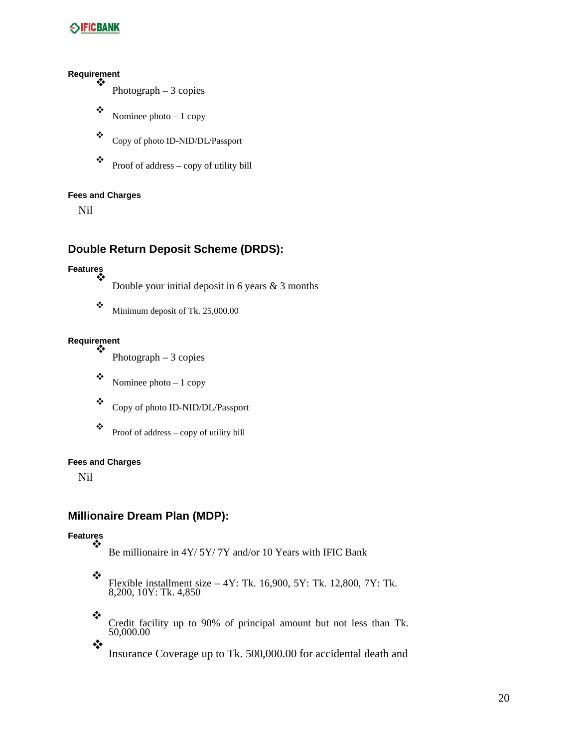#### **Requirement**  $\bullet^{\bullet}_{\bullet} \bullet$

- Photograph 3 copies
- Nominee photo  $-1$  copy
- Copy of photo ID-NID/DL/Passport
- $\bullet$  Proof of address copy of utility bill

#### **Fees and Charges**

Nil

#### **Double Return Deposit Scheme (DRDS):**

#### **Features** ❖

Double your initial deposit in 6 years  $\&$  3 months

 $\ddot{\bullet}$  Minimum deposit of Tk. 25,000.00

#### **Requirement** ❖

Photograph – 3 copies

 $\bullet$  Nominee photo – 1 copy

Copy of photo ID-NID/DL/Passport

 $\bullet$  Proof of address – copy of utility bill

#### **Fees and Charges**

Nil

#### **Millionaire Dream Plan (MDP):**

#### **Features** ❖

Be millionaire in 4Y/ 5Y/ 7Y and/or 10 Years with IFIC Bank

Flexible installment size  $-4Y$ : Tk. 16,900, 5Y: Tk. 12,800, 7Y: Tk. 8,200, 10Y: Tk. 4,850

❖

\* Credit facility up to 90% of principal amount but not less than Tk. 50,000.00

Insurance Coverage up to Tk. 500,000.00 for accidental death and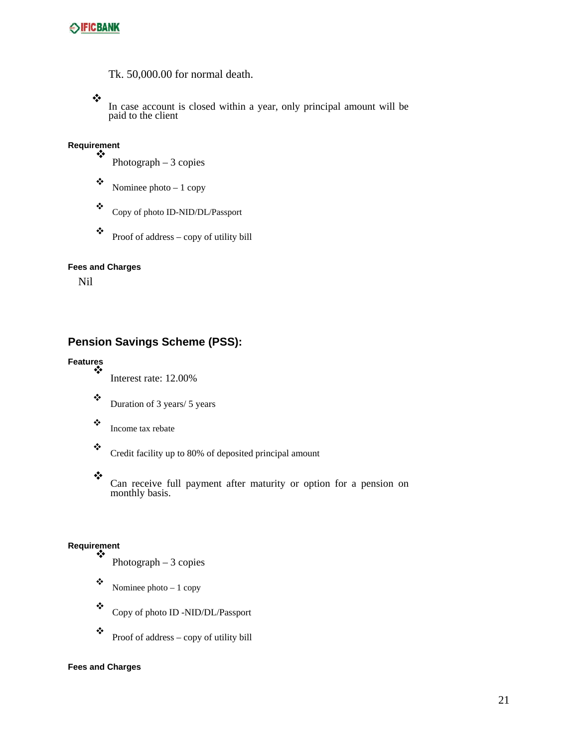

Tk. 50,000.00 for normal death.

❖

In case account is closed within a year, only principal amount will be paid to the client

# **Requirement**

- Photograph 3 copies
- $\bullet$  Nominee photo 1 copy
- Copy of photo ID-NID/DL/Passport

 $\bullet$  Proof of address – copy of utility bill

#### **Fees and Charges**

Nil

## **Pension Savings Scheme (PSS):**

# **Features**

- Interest rate: 12.00%
- $\bullet$  Duration of 3 years/ 5 years
- $\ddot{\bullet}$  Income tax rebate

 $\ddot{\bullet}$  Credit facility up to 80% of deposited principal amount

❖

Can receive full payment after maturity or option for a pension on monthly basis.

#### **Requirement** ❖

- Photograph  $-3$  copies
- $\bullet$  Nominee photo 1 copy
- Copy of photo ID -NID/DL/Passport
- $\bullet$  Proof of address copy of utility bill

#### **Fees and Charges**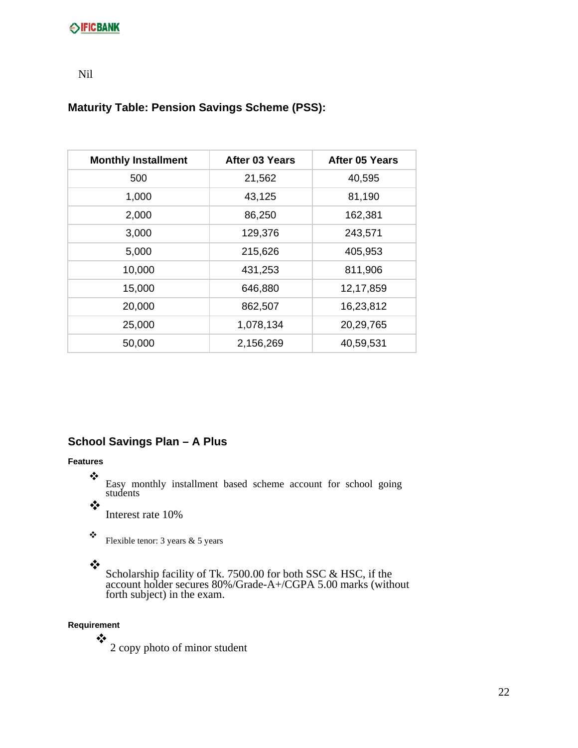#### Nil

#### **Maturity Table: Pension Savings Scheme (PSS):**

| <b>Monthly Installment</b> | After 03 Years | After 05 Years |
|----------------------------|----------------|----------------|
| 500                        | 21,562         | 40,595         |
| 1,000                      | 43,125         | 81,190         |
| 2,000                      | 86,250         | 162,381        |
| 3,000                      | 129,376        | 243,571        |
| 5,000                      | 215,626        | 405,953        |
| 10,000                     | 431,253        | 811,906        |
| 15,000                     | 646,880        | 12,17,859      |
| 20,000                     | 862,507        | 16,23,812      |
| 25,000                     | 1,078,134      | 20,29,765      |
| 50,000                     | 2,156,269      | 40,59,531      |

#### **School Savings Plan – A Plus**

#### **Features**

❖

Easy monthly installment based scheme account for school going students

 $\cdot$ 

Interest rate 10%

 $\ddot{\bullet}$  Flexible tenor: 3 years & 5 years

#### $\bullet^{\bullet}_{\bullet} \bullet$

Scholarship facility of Tk. 7500.00 for both SSC & HSC, if the account holder secures 80%/Grade-A+/CGPA 5.00 marks (without forth subject) in the exam.

#### **Requirement**

❖ 2 copy photo of minor student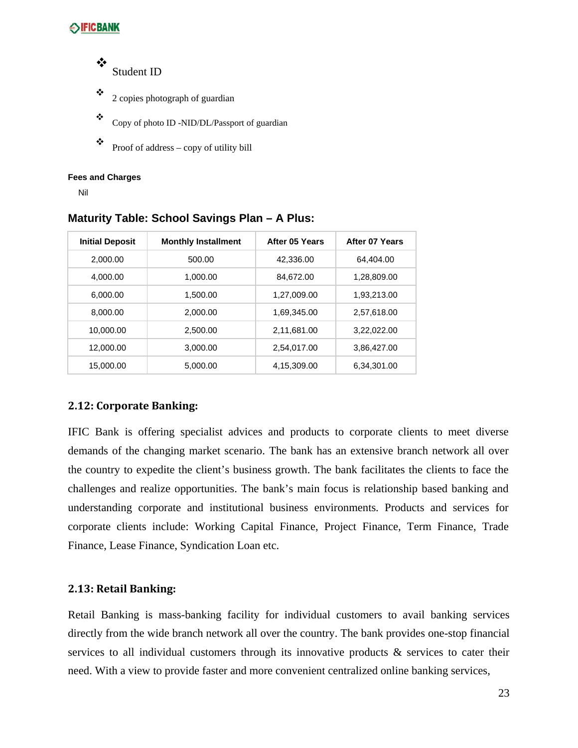❖ Student ID

- $\ddot{\bullet}$  2 copies photograph of guardian
- $\bullet$  Copy of photo ID -NID/DL/Passport of guardian
- $\bullet$  Proof of address copy of utility bill

#### **Fees and Charges**

Nil

| <b>Initial Deposit</b> | <b>Monthly Installment</b> | After 05 Years | After 07 Years |
|------------------------|----------------------------|----------------|----------------|
| 2.000.00               | 500.00                     | 42.336.00      | 64.404.00      |
| 4,000.00               | 1,000.00                   | 84.672.00      | 1,28,809.00    |
| 6.000.00               | 1.500.00                   | 1,27,009.00    | 1,93,213.00    |
| 8.000.00               | 2.000.00                   | 1,69,345.00    | 2,57,618.00    |
| 10,000.00              | 2,500.00                   | 2,11,681.00    | 3,22,022.00    |
| 12.000.00              | 3.000.00                   | 2,54,017.00    | 3,86,427.00    |
| 15,000.00              | 5,000.00                   | 4,15,309.00    | 6,34,301.00    |

**Maturity Table: School Savings Plan – A Plus:**

#### **2.12: Corporate Banking:**

IFIC Bank is offering specialist advices and products to corporate clients to meet diverse demands of the changing market scenario. The bank has an extensive branch network all over the country to expedite the client's business growth. The bank facilitates the clients to face the challenges and realize opportunities. The bank's main focus is relationship based banking and understanding corporate and institutional business environments. Products and services for corporate clients include: Working Capital Finance, Project Finance, Term Finance, Trade Finance, Lease Finance, Syndication Loan etc.

#### **2.13: Retail Banking:**

Retail Banking is mass-banking facility for individual customers to avail banking services directly from the wide branch network all over the country. The bank provides one-stop financial services to all individual customers through its innovative products & services to cater their need. With a view to provide faster and more convenient centralized online banking services,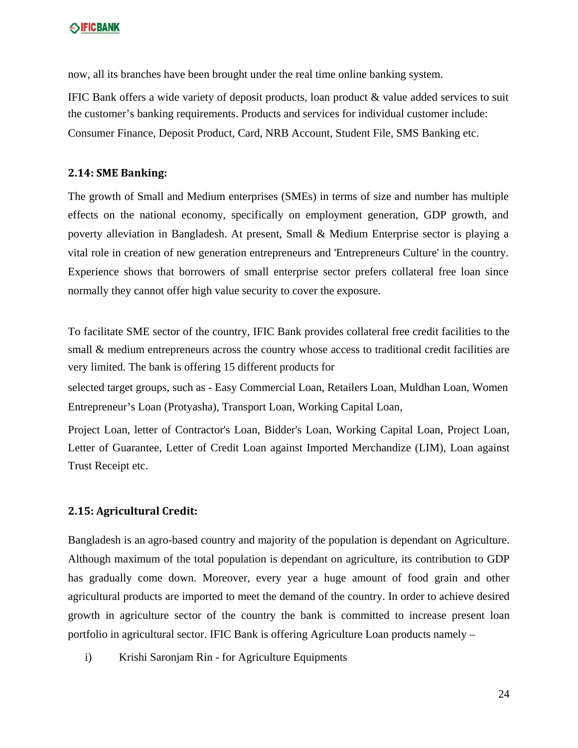now, all its branches have been brought under the real time online banking system.

IFIC Bank offers a wide variety of deposit products, loan product & value added services to suit the customer's banking requirements. Products and services for individual customer include: Consumer Finance, Deposit Product, Card, NRB Account, Student File, SMS Banking etc.

#### **2.14: SME Banking:**

The growth of Small and Medium enterprises (SMEs) in terms of size and number has multiple effects on the national economy, specifically on employment generation, GDP growth, and poverty alleviation in Bangladesh. At present, Small & Medium Enterprise sector is playing a vital role in creation of new generation entrepreneurs and 'Entrepreneurs Culture' in the country. Experience shows that borrowers of small enterprise sector prefers collateral free loan since normally they cannot offer high value security to cover the exposure.

To facilitate SME sector of the country, IFIC Bank provides collateral free credit facilities to the small & medium entrepreneurs across the country whose access to traditional credit facilities are very limited. The bank is offering 15 different products for

selected target groups, such as - Easy Commercial Loan, Retailers Loan, Muldhan Loan, Women Entrepreneur's Loan (Protyasha), Transport Loan, Working Capital Loan,

Project Loan, letter of Contractor's Loan, Bidder's Loan, Working Capital Loan, Project Loan, Letter of Guarantee, Letter of Credit Loan against Imported Merchandize (LIM), Loan against Trust Receipt etc.

#### **2.15: Agricultural Credit:**

Bangladesh is an agro-based country and majority of the population is dependant on Agriculture. Although maximum of the total population is dependant on agriculture, its contribution to GDP has gradually come down. Moreover, every year a huge amount of food grain and other agricultural products are imported to meet the demand of the country. In order to achieve desired growth in agriculture sector of the country the bank is committed to increase present loan portfolio in agricultural sector. IFIC Bank is offering Agriculture Loan products namely –

i) Krishi Saronjam Rin - for Agriculture Equipments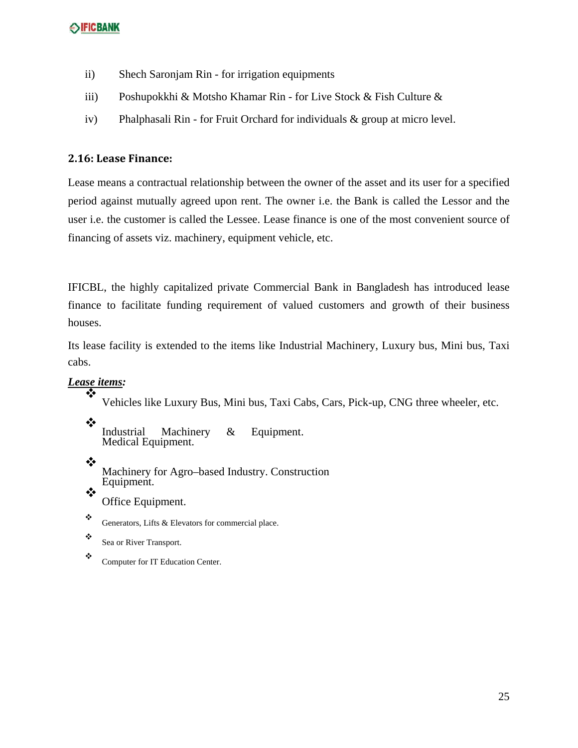- ii) Shech Saronjam Rin for irrigation equipments
- iii) Poshupokkhi & Motsho Khamar Rin for Live Stock & Fish Culture &
- iv) Phalphasali Rin for Fruit Orchard for individuals & group at micro level.

#### **2.16: Lease Finance:**

Lease means a contractual relationship between the owner of the asset and its user for a specified period against mutually agreed upon rent. The owner i.e. the Bank is called the Lessor and the user i.e. the customer is called the Lessee. Lease finance is one of the most convenient source of financing of assets viz. machinery, equipment vehicle, etc.

IFICBL, the highly capitalized private Commercial Bank in Bangladesh has introduced lease finance to facilitate funding requirement of valued customers and growth of their business houses.

Its lease facility is extended to the items like Industrial Machinery, Luxury bus, Mini bus, Taxi cabs.

#### *Lease items:* ❖

Vehicles like Luxury Bus, Mini bus, Taxi Cabs, Cars, Pick-up, CNG three wheeler, etc.

❖ Industrial Machinery & Equipment. Medical Equipment.

❖ Machinery for Agro–based Industry. Construction Equipment.  $\bullet^{\bullet}_{\bullet} \bullet$ 

Office Equipment.

- $\ddot{\cdot}$  Generators, Lifts & Elevators for commercial place.
- \* Sea or River Transport.
- \* Computer for IT Education Center.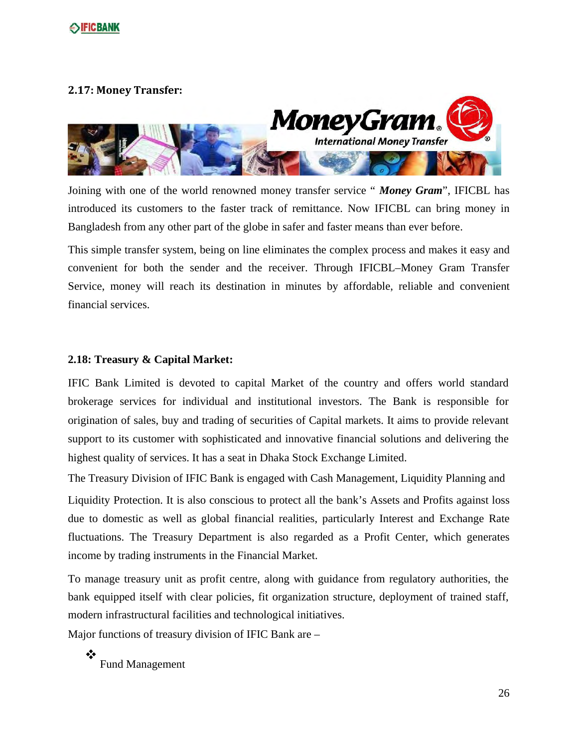

#### **2.17: Money Transfer:**



Joining with one of the world renowned money transfer service " *Money Gram*", IFICBL has introduced its customers to the faster track of remittance. Now IFICBL can bring money in Bangladesh from any other part of the globe in safer and faster means than ever before.

This simple transfer system, being on line eliminates the complex process and makes it easy and convenient for both the sender and the receiver. Through IFICBL–Money Gram Transfer Service, money will reach its destination in minutes by affordable, reliable and convenient financial services.

#### **2.18: Treasury & Capital Market:**

IFIC Bank Limited is devoted to capital Market of the country and offers world standard brokerage services for individual and institutional investors. The Bank is responsible for origination of sales, buy and trading of securities of Capital markets. It aims to provide relevant support to its customer with sophisticated and innovative financial solutions and delivering the highest quality of services. It has a seat in Dhaka Stock Exchange Limited.

The Treasury Division of IFIC Bank is engaged with Cash Management, Liquidity Planning and

Liquidity Protection. It is also conscious to protect all the bank's Assets and Profits against loss due to domestic as well as global financial realities, particularly Interest and Exchange Rate fluctuations. The Treasury Department is also regarded as a Profit Center, which generates income by trading instruments in the Financial Market.

To manage treasury unit as profit centre, along with guidance from regulatory authorities, the bank equipped itself with clear policies, fit organization structure, deployment of trained staff, modern infrastructural facilities and technological initiatives.

Major functions of treasury division of IFIC Bank are –

❖ Fund Management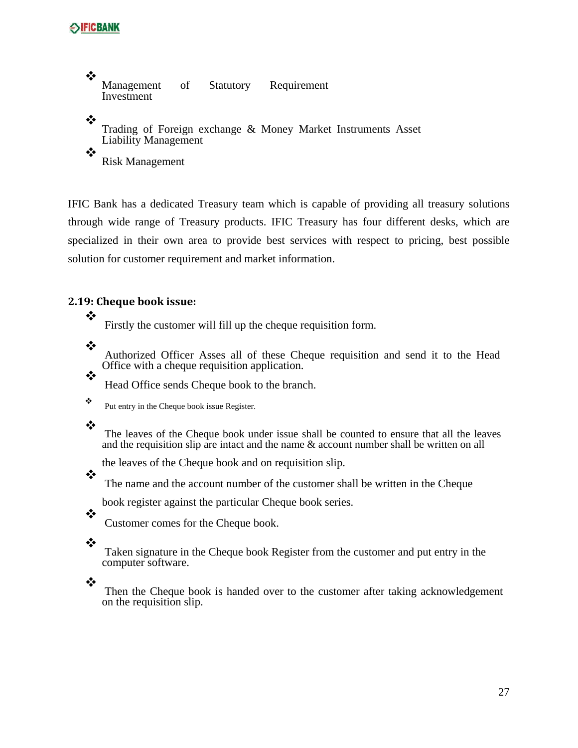```
❖
  Management of Statutory Requirement 
  Investment 
❖
   Trading of Foreign exchange & Money Market Instruments Asset 
  Liability Management 
❖
  Risk Management
```
IFIC Bank has a dedicated Treasury team which is capable of providing all treasury solutions through wide range of Treasury products. IFIC Treasury has four different desks, which are specialized in their own area to provide best services with respect to pricing, best possible solution for customer requirement and market information.

#### **2.19: Cheque book issue:**

❖

Firstly the customer will fill up the cheque requisition form.

❖

❖

Authorized Officer Asses all of these Cheque requisition and send it to the Head Office with a cheque requisition application.

Head Office sends Cheque book to the branch.

 $\ddot{\bullet}$  Put entry in the Cheque book issue Register.

#### ❖

❖

The leaves of the Cheque book under issue shall be counted to ensure that all the leaves and the requisition slip are intact and the name  $\&$  account number shall be written on all

the leaves of the Cheque book and on requisition slip.

The name and the account number of the customer shall be written in the Cheque

book register against the particular Cheque book series.

Customer comes for the Cheque book.

#### ❖

❖

Taken signature in the Cheque book Register from the customer and put entry in the computer software.

❖

Then the Cheque book is handed over to the customer after taking acknowledgement on the requisition slip.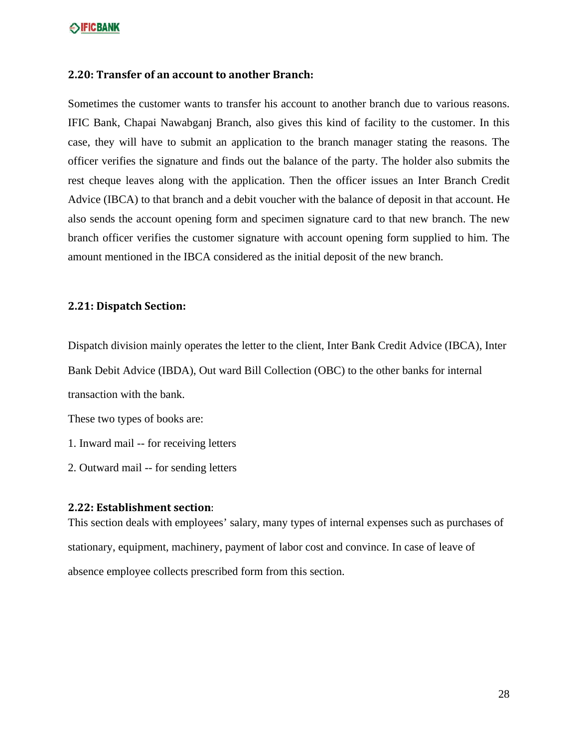#### **2.20: Transfer of an account to another Branch:**

Sometimes the customer wants to transfer his account to another branch due to various reasons. IFIC Bank, Chapai Nawabganj Branch, also gives this kind of facility to the customer. In this case, they will have to submit an application to the branch manager stating the reasons. The officer verifies the signature and finds out the balance of the party. The holder also submits the rest cheque leaves along with the application. Then the officer issues an Inter Branch Credit Advice (IBCA) to that branch and a debit voucher with the balance of deposit in that account. He also sends the account opening form and specimen signature card to that new branch. The new branch officer verifies the customer signature with account opening form supplied to him. The amount mentioned in the IBCA considered as the initial deposit of the new branch.

#### **2.21: Dispatch Section:**

Dispatch division mainly operates the letter to the client, Inter Bank Credit Advice (IBCA), Inter

Bank Debit Advice (IBDA), Out ward Bill Collection (OBC) to the other banks for internal

transaction with the bank.

These two types of books are:

1. Inward mail -- for receiving letters

2. Outward mail -- for sending letters

#### **2.22: Establishment section**:

This section deals with employees' salary, many types of internal expenses such as purchases of stationary, equipment, machinery, payment of labor cost and convince. In case of leave of absence employee collects prescribed form from this section.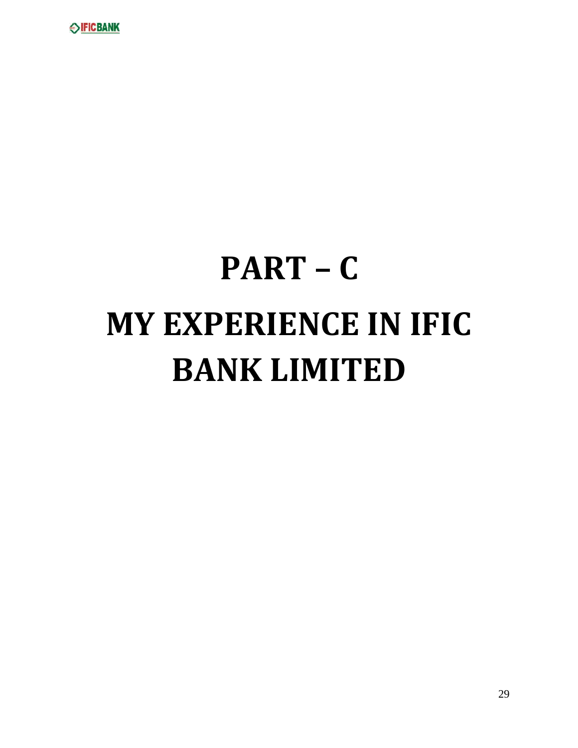

# **PART – C MY EXPERIENCE IN IFIC BANK LIMITED**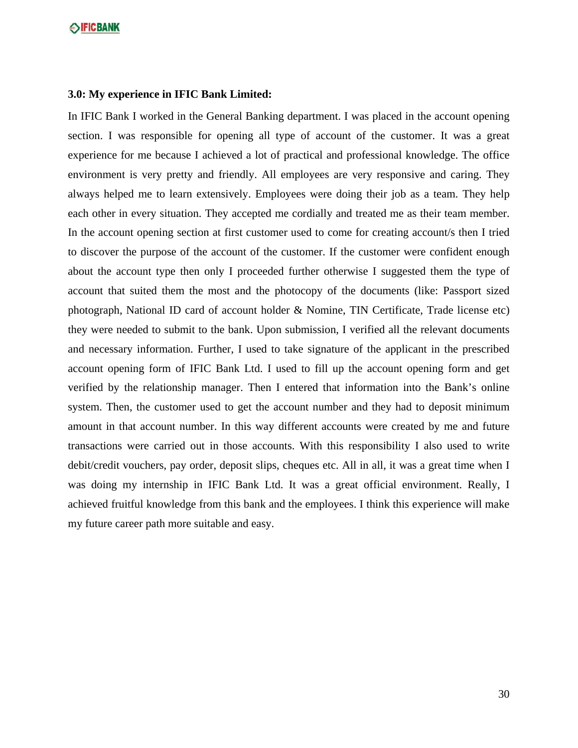#### **3.0: My experience in IFIC Bank Limited:**

In IFIC Bank I worked in the General Banking department. I was placed in the account opening section. I was responsible for opening all type of account of the customer. It was a great experience for me because I achieved a lot of practical and professional knowledge. The office environment is very pretty and friendly. All employees are very responsive and caring. They always helped me to learn extensively. Employees were doing their job as a team. They help each other in every situation. They accepted me cordially and treated me as their team member. In the account opening section at first customer used to come for creating account/s then I tried to discover the purpose of the account of the customer. If the customer were confident enough about the account type then only I proceeded further otherwise I suggested them the type of account that suited them the most and the photocopy of the documents (like: Passport sized photograph, National ID card of account holder & Nomine, TIN Certificate, Trade license etc) they were needed to submit to the bank. Upon submission, I verified all the relevant documents and necessary information. Further, I used to take signature of the applicant in the prescribed account opening form of IFIC Bank Ltd. I used to fill up the account opening form and get verified by the relationship manager. Then I entered that information into the Bank's online system. Then, the customer used to get the account number and they had to deposit minimum amount in that account number. In this way different accounts were created by me and future transactions were carried out in those accounts. With this responsibility I also used to write debit/credit vouchers, pay order, deposit slips, cheques etc. All in all, it was a great time when I was doing my internship in IFIC Bank Ltd. It was a great official environment. Really, I achieved fruitful knowledge from this bank and the employees. I think this experience will make my future career path more suitable and easy.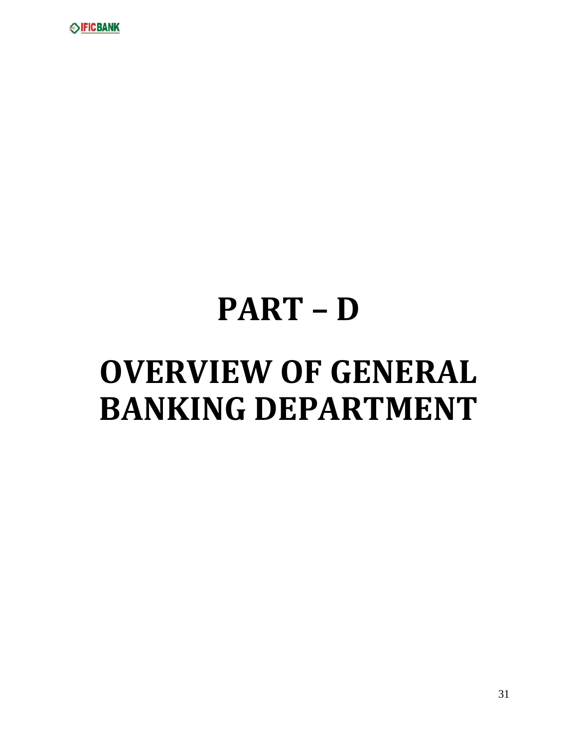

# **PART – D OVERVIEW OF GENERAL BANKING DEPARTMENT**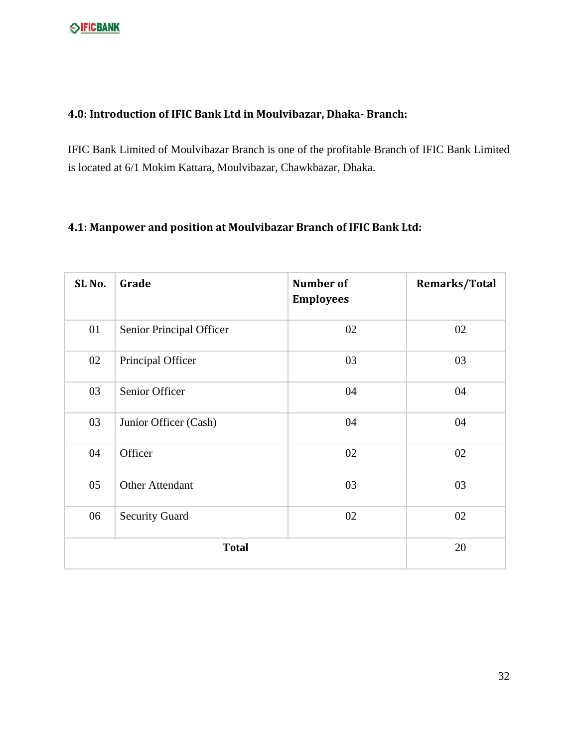#### **4.0: Introduction of IFIC Bank Ltd in Moulvibazar, Dhaka‐ Branch:**

IFIC Bank Limited of Moulvibazar Branch is one of the profitable Branch of IFIC Bank Limited is located at 6/1 Mokim Kattara, Moulvibazar, Chawkbazar, Dhaka.

## **4.1: Manpower and position at Moulvibazar Branch of IFIC Bank Ltd:**

| SL <sub>No.</sub> | Grade                    | <b>Number of</b><br><b>Employees</b> | Remarks/Total |
|-------------------|--------------------------|--------------------------------------|---------------|
| 01                | Senior Principal Officer | 02                                   | 02            |
| 02                | Principal Officer        | 03                                   | 03            |
| 03                | Senior Officer           | 04                                   | 04            |
| 03                | Junior Officer (Cash)    | 04                                   | 04            |
| 04                | Officer                  | 02                                   | 02            |
| 05                | <b>Other Attendant</b>   | 03                                   | 03            |
| 06                | <b>Security Guard</b>    | 02                                   | 02            |
|                   | 20                       |                                      |               |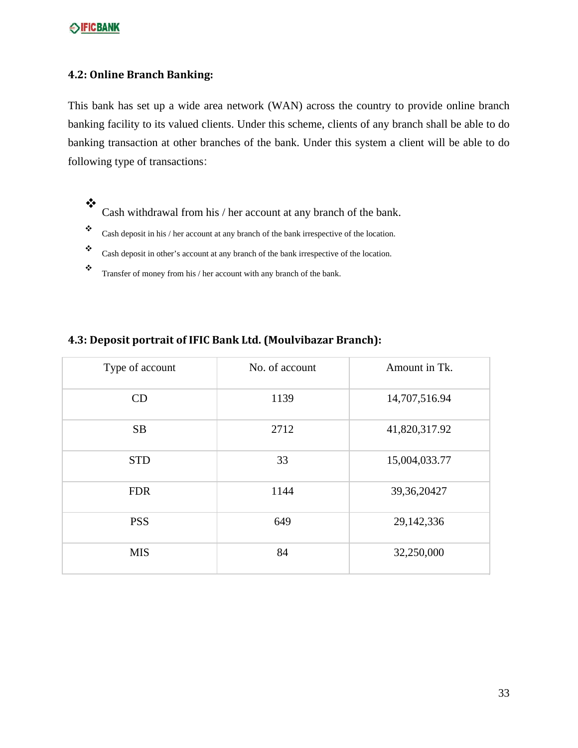#### **4.2: Online Branch Banking:**

This bank has set up a wide area network (WAN) across the country to provide online branch banking facility to its valued clients. Under this scheme, clients of any branch shall be able to do banking transaction at other branches of the bank. Under this system a client will be able to do following type of transactions:

- $\cdot$ Cash withdrawal from his / her account at any branch of the bank.
- $\bullet$  Cash deposit in his / her account at any branch of the bank irrespective of the location.
- \* Cash deposit in other's account at any branch of the bank irrespective of the location.
- $\bullet$  Transfer of money from his / her account with any branch of the bank.

#### **4.3: Deposit portrait of IFIC Bank Ltd. (Moulvibazar Branch):**

| Type of account | No. of account | Amount in Tk. |
|-----------------|----------------|---------------|
| CD              | 1139           | 14,707,516.94 |
| <b>SB</b>       | 2712           | 41,820,317.92 |
| <b>STD</b>      | 33             | 15,004,033.77 |
| <b>FDR</b>      | 1144           | 39, 36, 20427 |
| <b>PSS</b>      | 649            | 29,142,336    |
| <b>MIS</b>      | 84             | 32,250,000    |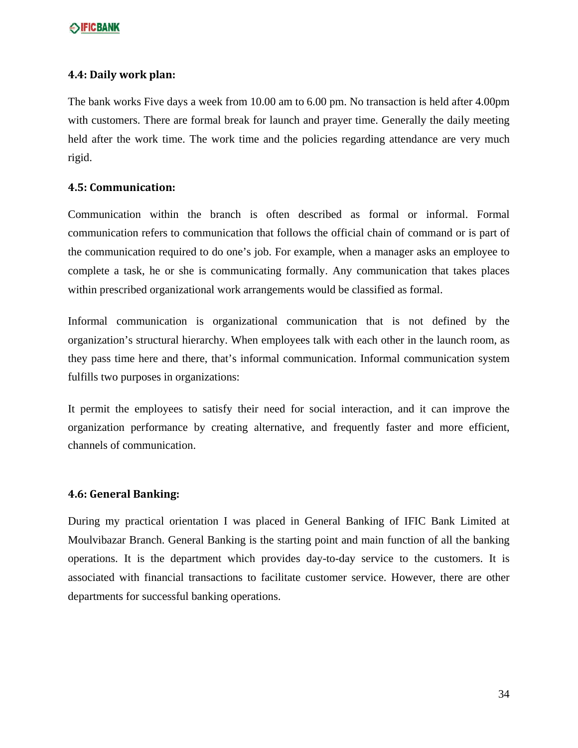#### **4.4: Daily work plan:**

The bank works Five days a week from 10.00 am to 6.00 pm. No transaction is held after 4.00pm with customers. There are formal break for launch and prayer time. Generally the daily meeting held after the work time. The work time and the policies regarding attendance are very much rigid.

#### **4.5: Communication:**

Communication within the branch is often described as formal or informal. Formal communication refers to communication that follows the official chain of command or is part of the communication required to do one's job. For example, when a manager asks an employee to complete a task, he or she is communicating formally. Any communication that takes places within prescribed organizational work arrangements would be classified as formal.

Informal communication is organizational communication that is not defined by the organization's structural hierarchy. When employees talk with each other in the launch room, as they pass time here and there, that's informal communication. Informal communication system fulfills two purposes in organizations:

It permit the employees to satisfy their need for social interaction, and it can improve the organization performance by creating alternative, and frequently faster and more efficient, channels of communication.

#### **4.6: General Banking:**

During my practical orientation I was placed in General Banking of IFIC Bank Limited at Moulvibazar Branch. General Banking is the starting point and main function of all the banking operations. It is the department which provides day-to-day service to the customers. It is associated with financial transactions to facilitate customer service. However, there are other departments for successful banking operations.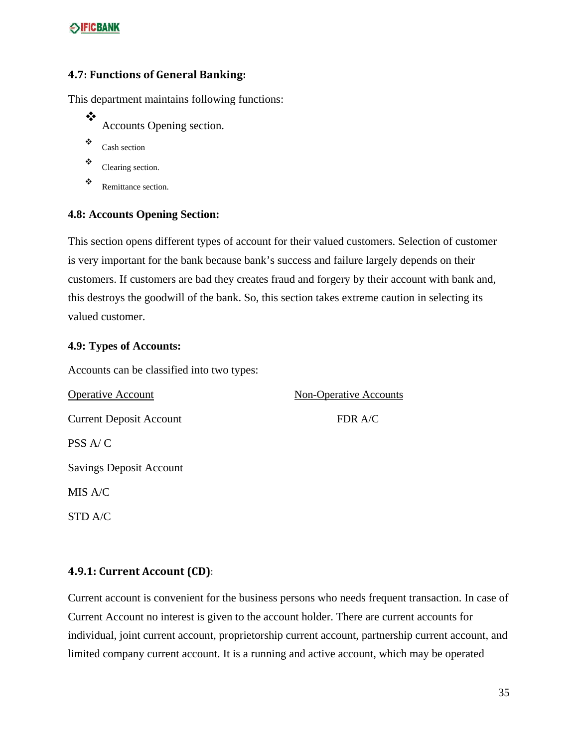#### **4.7: Functions of General Banking:**

This department maintains following functions:

- ❖ Accounts Opening section.
- Cash section
- \* Clearing section.
- \* Remittance section.

#### **4.8: Accounts Opening Section:**

This section opens different types of account for their valued customers. Selection of customer is very important for the bank because bank's success and failure largely depends on their customers. If customers are bad they creates fraud and forgery by their account with bank and, this destroys the goodwill of the bank. So, this section takes extreme caution in selecting its valued customer.

#### **4.9: Types of Accounts:**

Accounts can be classified into two types:

| <b>Operative Account</b>       | <b>Non-Operative Accounts</b> |
|--------------------------------|-------------------------------|
| <b>Current Deposit Account</b> | FDR A/C                       |
| PSS A/C                        |                               |
| <b>Savings Deposit Account</b> |                               |
| MIS A/C                        |                               |
| STD A/C                        |                               |

#### **4.9.1: Current Account (CD)**:

Current account is convenient for the business persons who needs frequent transaction. In case of Current Account no interest is given to the account holder. There are current accounts for individual, joint current account, proprietorship current account, partnership current account, and limited company current account. It is a running and active account, which may be operated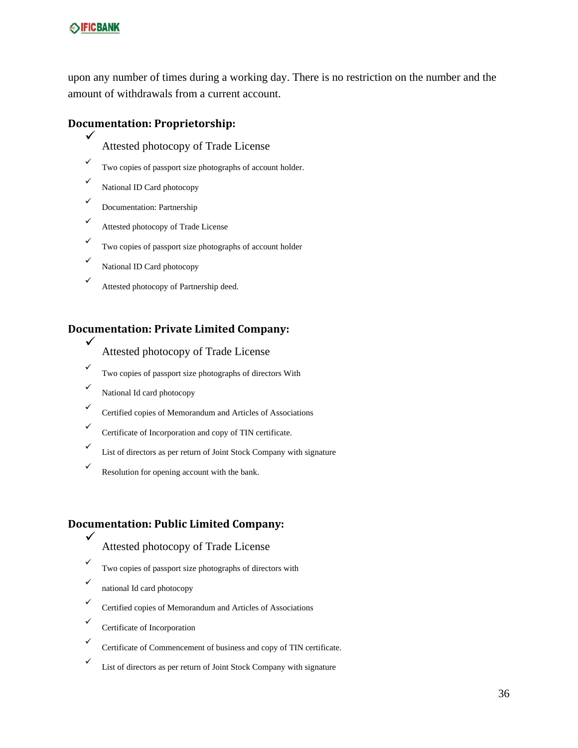upon any number of times during a working day. There is no restriction on the number and the amount of withdrawals from a current account.

#### **Documentation: Proprietorship:**

- $\checkmark$ Attested photocopy of Trade License
- $\checkmark$ Two copies of passport size photographs of account holder.
- $\checkmark$ National ID Card photocopy
- $\checkmark$ Documentation: Partnership
- $\checkmark$ Attested photocopy of Trade License
- $\checkmark$ Two copies of passport size photographs of account holder
- $\checkmark$ National ID Card photocopy
- $\checkmark$ Attested photocopy of Partnership deed.

#### **Documentation: Private Limited Company:**

- Attested photocopy of Trade License
- $\checkmark$ Two copies of passport size photographs of directors With
- $\checkmark$ National Id card photocopy

 $\checkmark$ 

 $\checkmark$ 

- $\checkmark$ Certified copies of Memorandum and Articles of Associations
- $\checkmark$ Certificate of Incorporation and copy of TIN certificate.
- $\checkmark$ List of directors as per return of Joint Stock Company with signature
- $\checkmark$ Resolution for opening account with the bank.

#### **Documentation: Public Limited Company:**

- Attested photocopy of Trade License
- $\checkmark$ Two copies of passport size photographs of directors with
- $\checkmark$ national Id card photocopy
- $\checkmark$ Certified copies of Memorandum and Articles of Associations
- $\checkmark$ Certificate of Incorporation
- $\checkmark$ Certificate of Commencement of business and copy of TIN certificate.
- $\checkmark$ List of directors as per return of Joint Stock Company with signature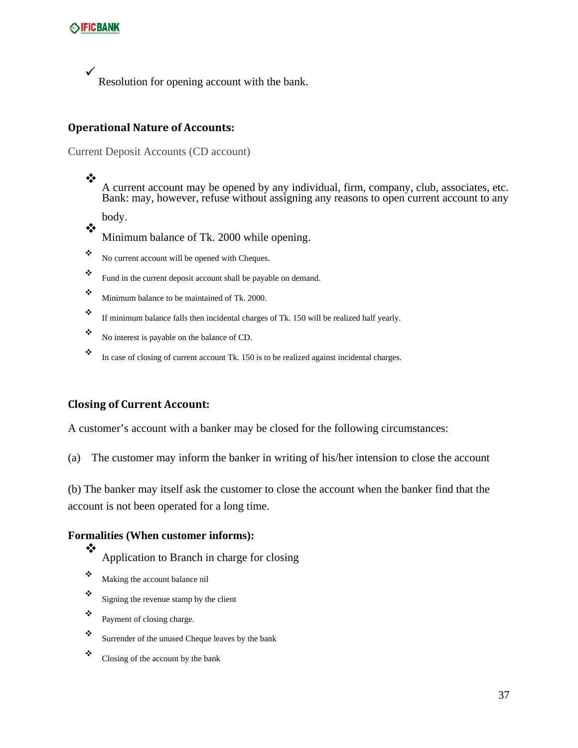$\checkmark$ Resolution for opening account with the bank.

#### **Operational Nature of Accounts:**

#### Current Deposit Accounts (CD account)

❖ A current account may be opened by any individual, firm, company, club, associates, etc. Bank: may, however, refuse without assigning any reasons to open current account to any

body. ❖

Minimum balance of Tk. 2000 while opening.

- $\ddot{\bullet}$  No current account will be opened with Cheques.
- \* Fund in the current deposit account shall be payable on demand.
- $\ddot{\cdot}$  Minimum balance to be maintained of Tk. 2000.
- $\bullet$  If minimum balance falls then incidental charges of Tk. 150 will be realized half yearly.
- No interest is payable on the balance of CD.
- \* In case of closing of current account Tk. 150 is to be realized against incidental charges.

#### **Closing of Current Account:**

A customer's account with a banker may be closed for the following circumstances:

(a) The customer may inform the banker in writing of his/her intension to close the account

(b) The banker may itself ask the customer to close the account when the banker find that the account is not been operated for a long time.

#### **Formalities (When customer informs):**

- Application to Branch in charge for closing
- Making the account balance nil

❖

- $\ddot{\bullet}$  Signing the revenue stamp by the client
- $\bullet$  Payment of closing charge.
- Surrender of the unused Cheque leaves by the bank
- $\ddot{\bullet}$  Closing of the account by the bank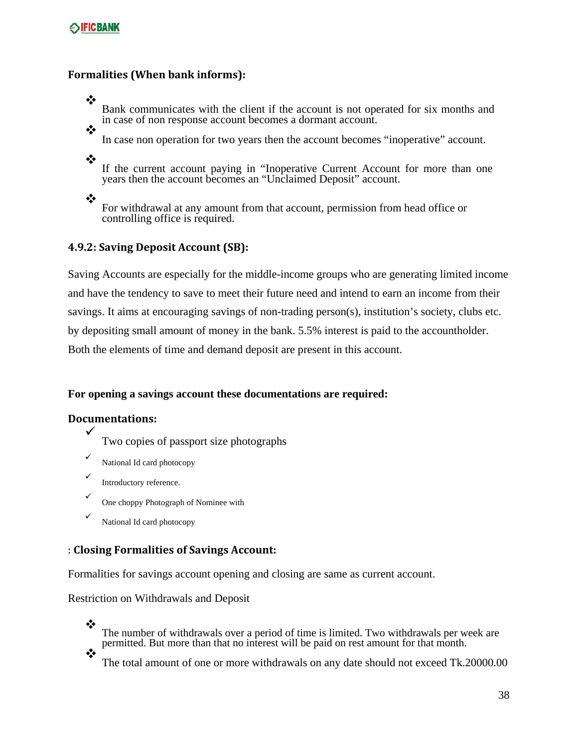#### **seificbank**

#### **Formalities (When bank informs):**

Bank communicates with the client if the account is not operated for six months and in case of non response account becomes a dormant account.

In case non operation for two years then the account becomes "inoperative" account.

❖

❖

❖

If the current account paying in "Inoperative Current Account for more than one years then the account becomes an "Unclaimed Deposit" account.

❖

For withdrawal at any amount from that account, permission from head office or controlling office is required.

#### **4.9.2: Saving Deposit Account (SB):**

Saving Accounts are especially for the middle-income groups who are generating limited income and have the tendency to save to meet their future need and intend to earn an income from their savings. It aims at encouraging savings of non-trading person(s), institution's society, clubs etc. by depositing small amount of money in the bank. 5.5% interest is paid to the accountholder. Both the elements of time and demand deposit are present in this account.

#### **For opening a savings account these documentations are required:**

#### **Documentations:**

- $\checkmark$ Two copies of passport size photographs
- $\checkmark$ National Id card photocopy
- $\checkmark$ Introductory reference.
- $\checkmark$ One choppy Photograph of Nominee with
- $\checkmark$ National Id card photocopy

#### : **Closing Formalities of Savings Account:**

Formalities for savings account opening and closing are same as current account.

Restriction on Withdrawals and Deposit

❖ The number of withdrawals over a period of time is limited. Two withdrawals per week are permitted. But more than that no interest will be paid on rest amount for that month. ❖

The total amount of one or more withdrawals on any date should not exceed Tk.20000.00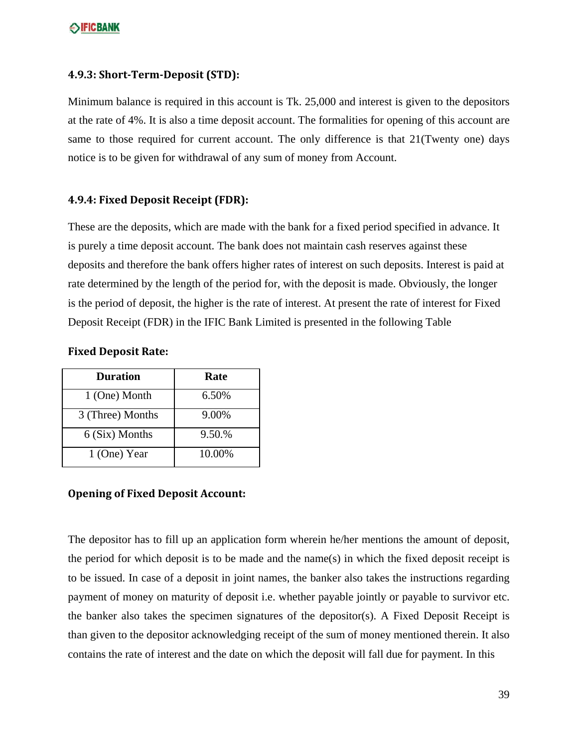#### **4.9.3: Short‐Term‐Deposit (STD):**

Minimum balance is required in this account is Tk. 25,000 and interest is given to the depositors at the rate of 4%. It is also a time deposit account. The formalities for opening of this account are same to those required for current account. The only difference is that 21(Twenty one) days notice is to be given for withdrawal of any sum of money from Account.

#### **4.9.4: Fixed Deposit Receipt (FDR):**

These are the deposits, which are made with the bank for a fixed period specified in advance. It is purely a time deposit account. The bank does not maintain cash reserves against these deposits and therefore the bank offers higher rates of interest on such deposits. Interest is paid at rate determined by the length of the period for, with the deposit is made. Obviously, the longer is the period of deposit, the higher is the rate of interest. At present the rate of interest for Fixed Deposit Receipt (FDR) in the IFIC Bank Limited is presented in the following Table

#### **Fixed Deposit Rate:**

| <b>Duration</b>  | Rate   |
|------------------|--------|
| 1 (One) Month    | 6.50%  |
| 3 (Three) Months | 9.00%  |
| 6 (Six) Months   | 9.50.% |
| 1 (One) Year     | 10.00% |

#### **Opening of Fixed Deposit Account:**

The depositor has to fill up an application form wherein he/her mentions the amount of deposit, the period for which deposit is to be made and the name(s) in which the fixed deposit receipt is to be issued. In case of a deposit in joint names, the banker also takes the instructions regarding payment of money on maturity of deposit i.e. whether payable jointly or payable to survivor etc. the banker also takes the specimen signatures of the depositor(s). A Fixed Deposit Receipt is than given to the depositor acknowledging receipt of the sum of money mentioned therein. It also contains the rate of interest and the date on which the deposit will fall due for payment. In this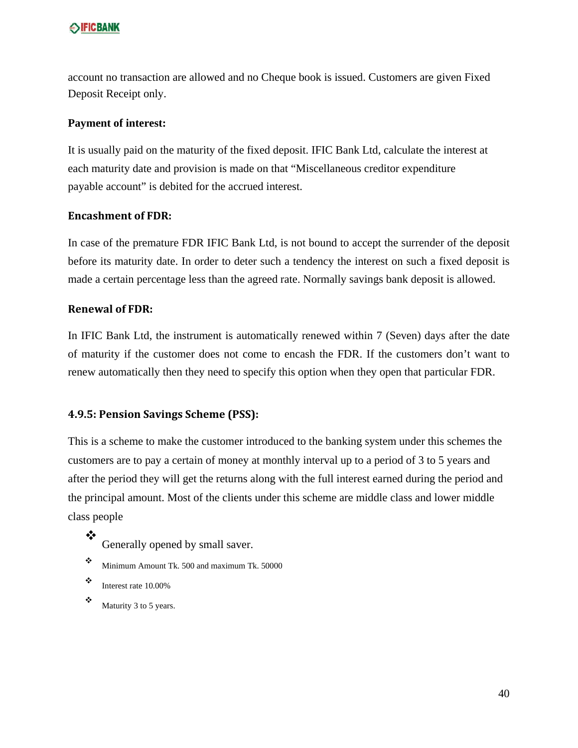account no transaction are allowed and no Cheque book is issued. Customers are given Fixed Deposit Receipt only.

#### **Payment of interest:**

It is usually paid on the maturity of the fixed deposit. IFIC Bank Ltd, calculate the interest at each maturity date and provision is made on that "Miscellaneous creditor expenditure payable account" is debited for the accrued interest.

#### **Encashment of FDR:**

In case of the premature FDR IFIC Bank Ltd, is not bound to accept the surrender of the deposit before its maturity date. In order to deter such a tendency the interest on such a fixed deposit is made a certain percentage less than the agreed rate. Normally savings bank deposit is allowed.

#### **Renewal of FDR:**

In IFIC Bank Ltd, the instrument is automatically renewed within 7 (Seven) days after the date of maturity if the customer does not come to encash the FDR. If the customers don't want to renew automatically then they need to specify this option when they open that particular FDR.

#### **4.9.5: Pension Savings Scheme (PSS):**

This is a scheme to make the customer introduced to the banking system under this schemes the customers are to pay a certain of money at monthly interval up to a period of 3 to 5 years and after the period they will get the returns along with the full interest earned during the period and the principal amount. Most of the clients under this scheme are middle class and lower middle class people

- ❖ Generally opened by small saver.
- Minimum Amount Tk. 500 and maximum Tk. 50000
- $\ddot{\cdot}$  Interest rate 10.00%
- $\bullet$  Maturity 3 to 5 years.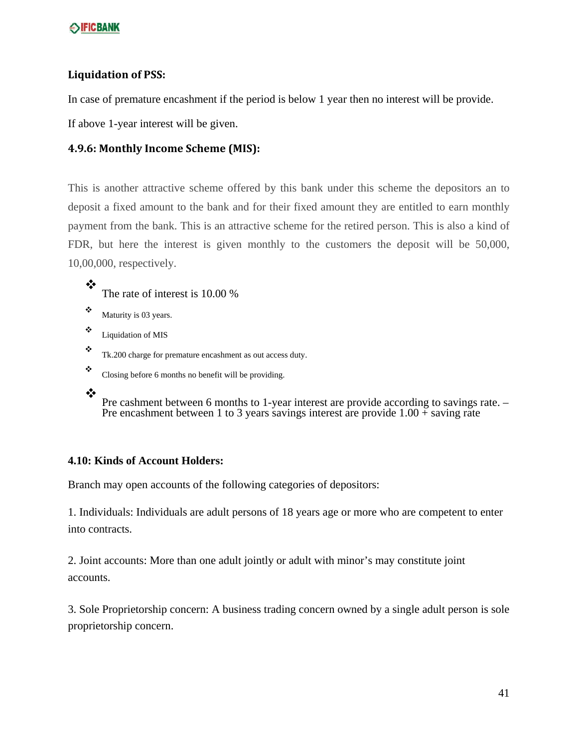#### **Liquidation of PSS:**

In case of premature encashment if the period is below 1 year then no interest will be provide.

If above 1-year interest will be given.

#### **4.9.6: Monthly Income Scheme (MIS):**

This is another attractive scheme offered by this bank under this scheme the depositors an to deposit a fixed amount to the bank and for their fixed amount they are entitled to earn monthly payment from the bank. This is an attractive scheme for the retired person. This is also a kind of FDR, but here the interest is given monthly to the customers the deposit will be 50,000, 10,00,000, respectively.

- ❖ The rate of interest is 10.00 %
- $\bullet$  Maturity is 03 years.
- Liquidation of MIS
- Tk.200 charge for premature encashment as out access duty.
- $\ddot{\bullet}$  Closing before 6 months no benefit will be providing.
- $\cdot$

Pre cashment between 6 months to 1-year interest are provide according to savings rate. – Pre encashment between 1 to 3 years savings interest are provide 1.00 + saving rate

#### **4.10: Kinds of Account Holders:**

Branch may open accounts of the following categories of depositors:

1. Individuals: Individuals are adult persons of 18 years age or more who are competent to enter into contracts.

2. Joint accounts: More than one adult jointly or adult with minor's may constitute joint accounts.

3. Sole Proprietorship concern: A business trading concern owned by a single adult person is sole proprietorship concern.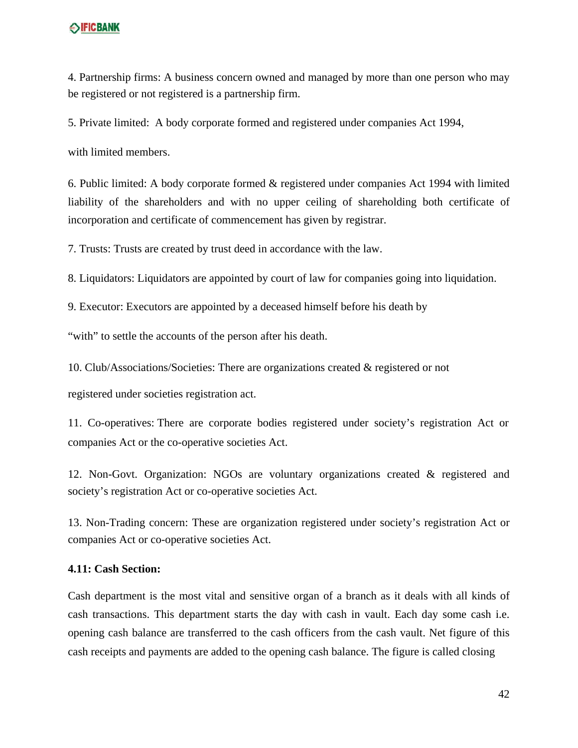4. Partnership firms: A business concern owned and managed by more than one person who may be registered or not registered is a partnership firm.

5. Private limited: A body corporate formed and registered under companies Act 1994,

with limited members.

6. Public limited: A body corporate formed & registered under companies Act 1994 with limited liability of the shareholders and with no upper ceiling of shareholding both certificate of incorporation and certificate of commencement has given by registrar.

7. Trusts: Trusts are created by trust deed in accordance with the law.

8. Liquidators: Liquidators are appointed by court of law for companies going into liquidation.

9. Executor: Executors are appointed by a deceased himself before his death by

"with" to settle the accounts of the person after his death.

10. Club/Associations/Societies: There are organizations created & registered or not

registered under societies registration act.

11. Co-operatives: There are corporate bodies registered under society's registration Act or companies Act or the co-operative societies Act.

12. Non-Govt. Organization: NGOs are voluntary organizations created & registered and society's registration Act or co-operative societies Act.

13. Non-Trading concern: These are organization registered under society's registration Act or companies Act or co-operative societies Act.

#### **4.11: Cash Section:**

Cash department is the most vital and sensitive organ of a branch as it deals with all kinds of cash transactions. This department starts the day with cash in vault. Each day some cash i.e. opening cash balance are transferred to the cash officers from the cash vault. Net figure of this cash receipts and payments are added to the opening cash balance. The figure is called closing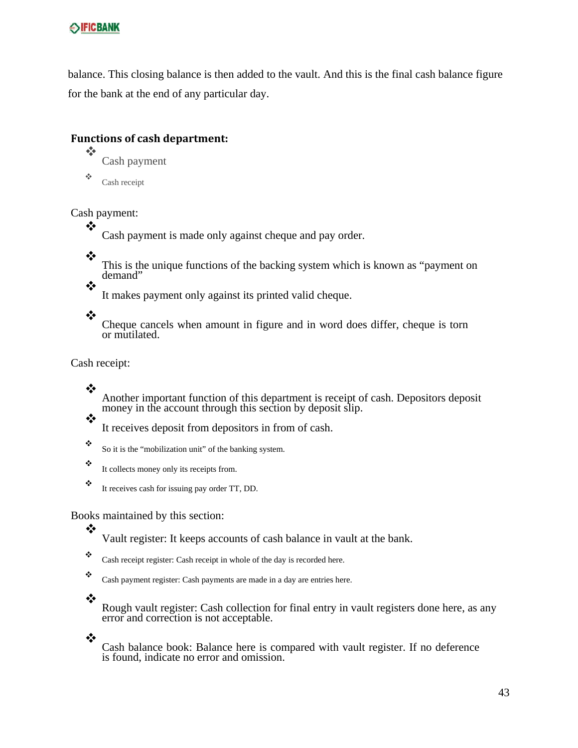balance. This closing balance is then added to the vault. And this is the final cash balance figure for the bank at the end of any particular day.

## **Functions of cash department:**

 Cash payment

Cash receipt

Cash payment:

Cash payment is made only against cheque and pay order.

❖

❖

This is the unique functions of the backing system which is known as "payment on demand"

It makes payment only against its printed valid cheque.

❖

❖

Cheque cancels when amount in figure and in word does differ, cheque is torn or mutilated.

Cash receipt:

❖

 $\frac{1}{2}$ 

Another important function of this department is receipt of cash. Depositors deposit money in the account through this section by deposit slip.

It receives deposit from depositors in from of cash.

So it is the "mobilization unit" of the banking system.

- $\ddot{\cdot}$  It collects money only its receipts from.
- $\ddot{\cdot}$  It receives cash for issuing pay order TT, DD.

Books maintained by this section:

Vault register: It keeps accounts of cash balance in vault at the bank.

- \* Cash receipt register: Cash receipt in whole of the day is recorded here.
- Cash payment register: Cash payments are made in a day are entries here.
- ❖

❖

Rough vault register: Cash collection for final entry in vault registers done here, as any error and correction is not acceptable.

❖

Cash balance book: Balance here is compared with vault register. If no deference is found, indicate no error and omission.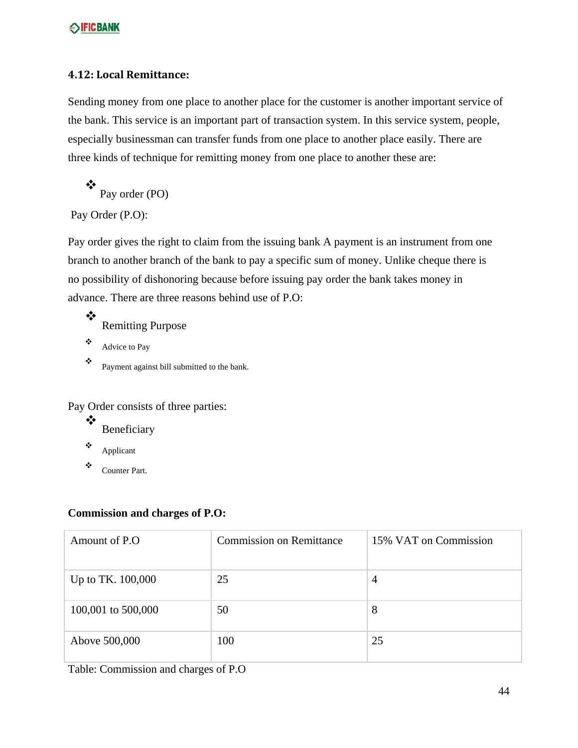#### **4.12: Local Remittance:**

Sending money from one place to another place for the customer is another important service of the bank. This service is an important part of transaction system. In this service system, people, especially businessman can transfer funds from one place to another place easily. There are three kinds of technique for remitting money from one place to another these are:

❖ Pay order (PO)

Pay Order (P.O):

Pay order gives the right to claim from the issuing bank A payment is an instrument from one branch to another branch of the bank to pay a specific sum of money. Unlike cheque there is no possibility of dishonoring because before issuing pay order the bank takes money in advance. There are three reasons behind use of P.O:

❖ Remitting Purpose  $\triangle$  Advice to Pay

 $\ddot{\bullet}$  Payment against bill submitted to the bank.

Pay Order consists of three parties:

- ❖ Beneficiary
- $\bullet$  Applicant
- Counter Part.

#### **Commission and charges of P.O:**

| Amount of P.O.     | <b>Commission on Remittance</b> | 15% VAT on Commission |
|--------------------|---------------------------------|-----------------------|
| Up to TK. 100,000  | 25                              | 4                     |
| 100,001 to 500,000 | 50                              | 8                     |
| Above 500,000      | 100                             | 25                    |

Table: Commission and charges of P.O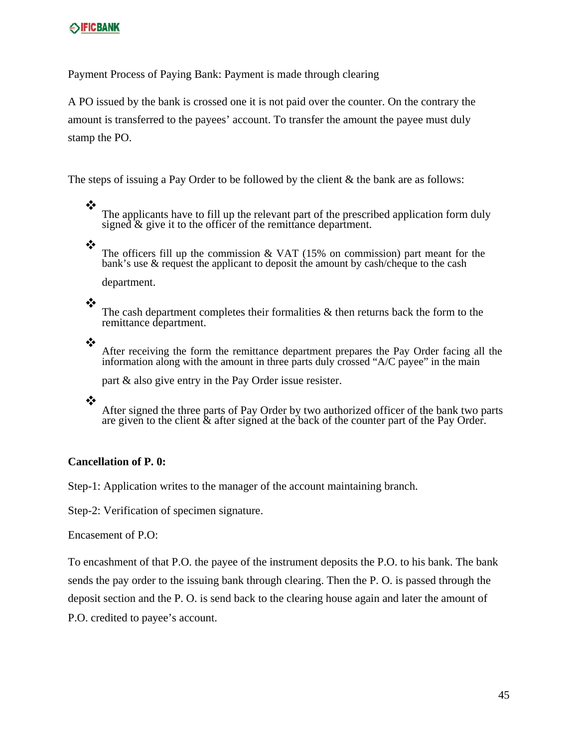Payment Process of Paying Bank: Payment is made through clearing

A PO issued by the bank is crossed one it is not paid over the counter. On the contrary the amount is transferred to the payees' account. To transfer the amount the payee must duly stamp the PO.

The steps of issuing a Pay Order to be followed by the client & the bank are as follows:

The applicants have to fill up the relevant part of the prescribed application form duly signed  $\&$  give it to the officer of the remittance department.

❖

❖

The officers fill up the commission  $& VAT$  (15% on commission) part meant for the bank's use & request the applicant to deposit the amount by cash/cheque to the cash

department.

#### ❖

The cash department completes their formalities  $\&$  then returns back the form to the remittance department.

❖

After receiving the form the remittance department prepares the Pay Order facing all the information along with the amount in three parts duly crossed "A/C payee" in the main

part & also give entry in the Pay Order issue resister.

❖

After signed the three parts of Pay Order by two authorized officer of the bank two parts are given to the client & after signed at the back of the counter part of the Pay Order.

#### **Cancellation of P. 0:**

Step-1: Application writes to the manager of the account maintaining branch.

Step-2: Verification of specimen signature.

Encasement of P.O:

To encashment of that P.O. the payee of the instrument deposits the P.O. to his bank. The bank sends the pay order to the issuing bank through clearing. Then the P. O. is passed through the deposit section and the P. O. is send back to the clearing house again and later the amount of

P.O. credited to payee's account.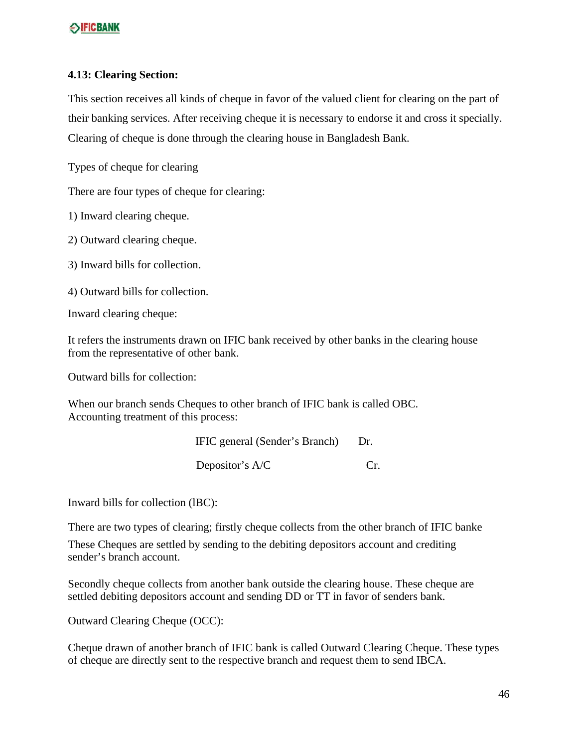#### **4.13: Clearing Section:**

This section receives all kinds of cheque in favor of the valued client for clearing on the part of their banking services. After receiving cheque it is necessary to endorse it and cross it specially. Clearing of cheque is done through the clearing house in Bangladesh Bank.

Types of cheque for clearing

There are four types of cheque for clearing:

1) Inward clearing cheque.

2) Outward clearing cheque.

3) Inward bills for collection.

4) Outward bills for collection.

Inward clearing cheque:

It refers the instruments drawn on IFIC bank received by other banks in the clearing house from the representative of other bank.

Outward bills for collection:

When our branch sends Cheques to other branch of IFIC bank is called OBC. Accounting treatment of this process:

> IFIC general (Sender's Branch) Dr. Depositor's A/C Cr.

Inward bills for collection (lBC):

There are two types of clearing; firstly cheque collects from the other branch of IFIC banke

These Cheques are settled by sending to the debiting depositors account and crediting sender's branch account.

Secondly cheque collects from another bank outside the clearing house. These cheque are settled debiting depositors account and sending DD or TT in favor of senders bank.

Outward Clearing Cheque (OCC):

Cheque drawn of another branch of IFIC bank is called Outward Clearing Cheque. These types of cheque are directly sent to the respective branch and request them to send IBCA.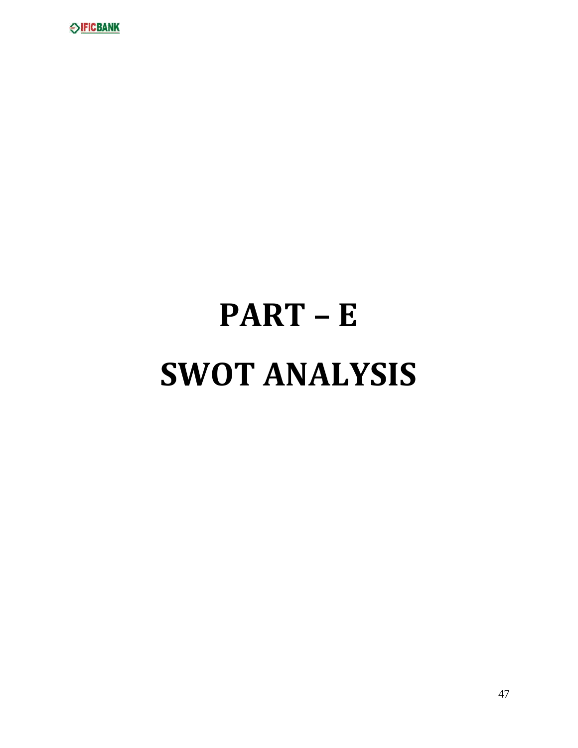

# **PART – E SWOT ANALYSIS**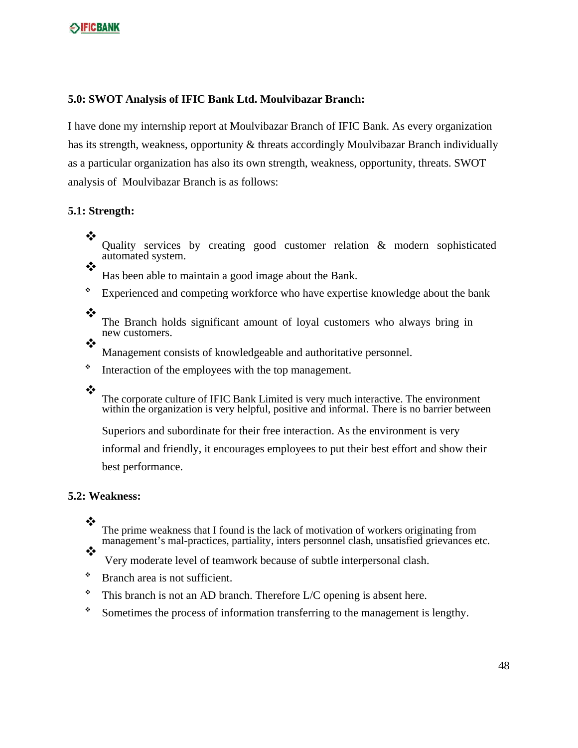#### **5.0: SWOT Analysis of IFIC Bank Ltd. Moulvibazar Branch:**

I have done my internship report at Moulvibazar Branch of IFIC Bank. As every organization has its strength, weakness, opportunity & threats accordingly Moulvibazar Branch individually as a particular organization has also its own strength, weakness, opportunity, threats. SWOT analysis of Moulvibazar Branch is as follows:

#### **5.1: Strength:**

❖ Quality services by creating good customer relation & modern sophisticated automated system. ❖

Has been able to maintain a good image about the Bank.

- Experienced and competing workforce who have expertise knowledge about the bank
- ❖

The Branch holds significant amount of loyal customers who always bring in new customers.

❖ Management consists of knowledgeable and authoritative personnel.

\* Interaction of the employees with the top management.

❖

The corporate culture of IFIC Bank Limited is very much interactive. The environment within the organization is very helpful, positive and informal. There is no barrier between

Superiors and subordinate for their free interaction. As the environment is very

informal and friendly, it encourages employees to put their best effort and show their best performance.

#### **5.2: Weakness:**

❖

❖

The prime weakness that I found is the lack of motivation of workers originating from management's mal-practices, partiality, inters personnel clash, unsatisfied grievances etc.

Very moderate level of teamwork because of subtle interpersonal clash.

- Branch area is not sufficient.
- $*$  This branch is not an AD branch. Therefore L/C opening is absent here.
- \* Sometimes the process of information transferring to the management is lengthy.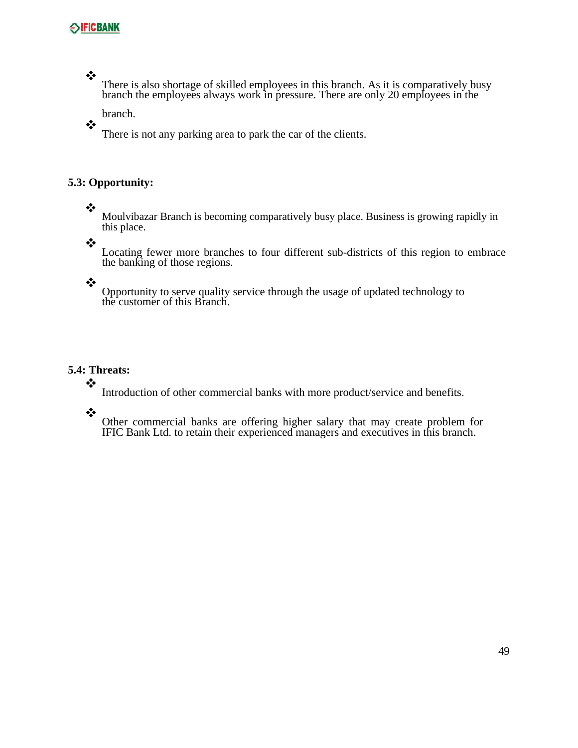$\frac{1}{2}$ 

 $\frac{1}{2}$ 

There is also shortage of skilled employees in this branch. As it is comparatively busy branch the employees always work in pressure. There are only 20 employees in the

branch.

There is not any parking area to park the car of the clients.

#### **5.3: Opportunity:**

#### ❖

Moulvibazar Branch is becoming comparatively busy place. Business is growing rapidly in this place.

❖

Locating fewer more branches to four different sub-districts of this region to embrace the banking of those regions.

## ❖

Opportunity to serve quality service through the usage of updated technology to the customer of this Branch.

#### **5.4: Threats:**

Introduction of other commercial banks with more product/service and benefits.

❖

❖

Other commercial banks are offering higher salary that may create problem for IFIC Bank Ltd. to retain their experienced managers and executives in this branch.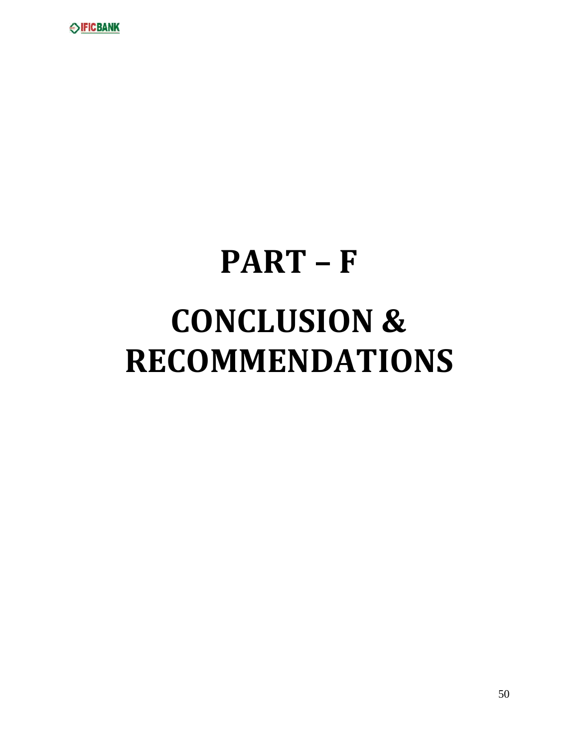

# **PART – F CONCLUSION & RECOMMENDATIONS**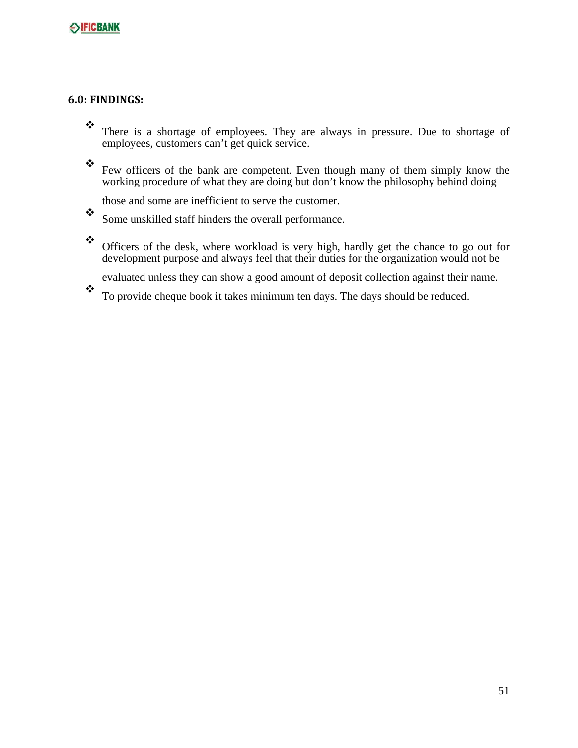#### **6.0: FINDINGS:**

- \* There is a shortage of employees. They are always in pressure. Due to shortage of employees, customers can't get quick service.
- Few officers of the bank are competent. Even though many of them simply know the working procedure of what they are doing but don't know the philosophy behind doing
	- those and some are inefficient to serve the customer.
- $\bullet$  Some unskilled staff hinders the overall performance.
- Officers of the desk, where workload is very high, hardly get the chance to go out for development purpose and always feel that their duties for the organization would not be
	- evaluated unless they can show a good amount of deposit collection against their name.
- $\ddot{\cdot}$  To provide cheque book it takes minimum ten days. The days should be reduced.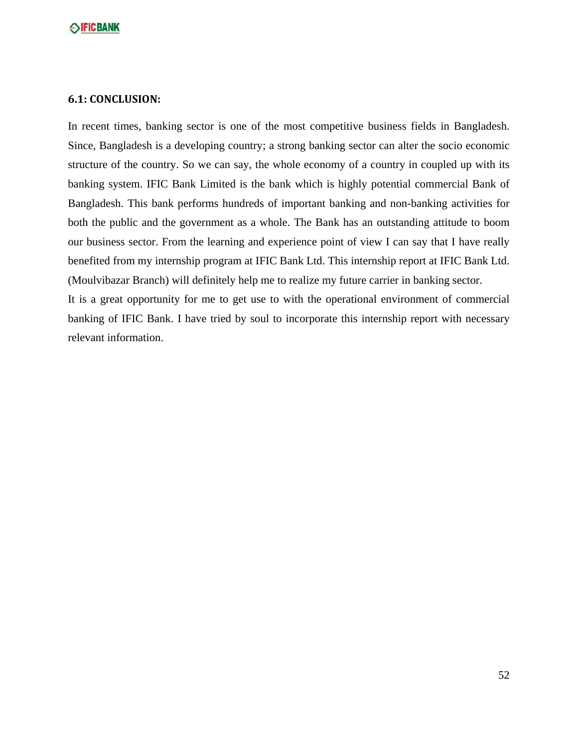#### **6.1: CONCLUSION:**

In recent times, banking sector is one of the most competitive business fields in Bangladesh. Since, Bangladesh is a developing country; a strong banking sector can alter the socio economic structure of the country. So we can say, the whole economy of a country in coupled up with its banking system. IFIC Bank Limited is the bank which is highly potential commercial Bank of Bangladesh. This bank performs hundreds of important banking and non-banking activities for both the public and the government as a whole. The Bank has an outstanding attitude to boom our business sector. From the learning and experience point of view I can say that I have really benefited from my internship program at IFIC Bank Ltd. This internship report at IFIC Bank Ltd. (Moulvibazar Branch) will definitely help me to realize my future carrier in banking sector. It is a great opportunity for me to get use to with the operational environment of commercial

banking of IFIC Bank. I have tried by soul to incorporate this internship report with necessary relevant information.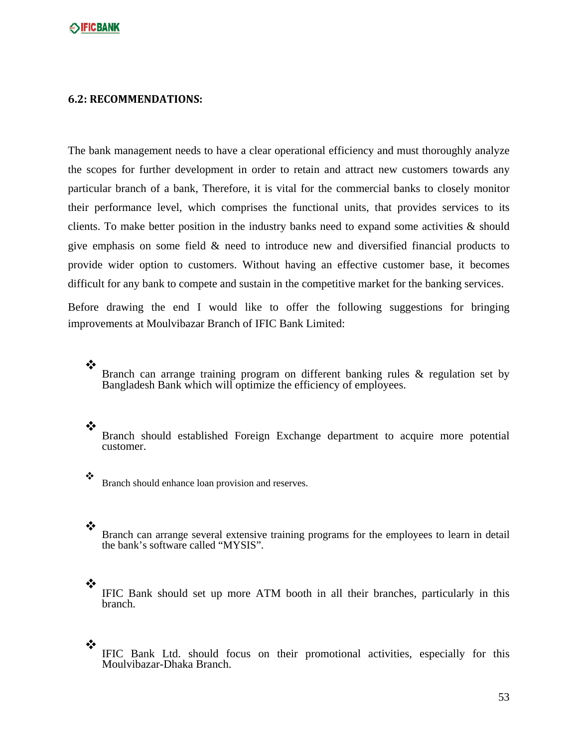#### **6.2: RECOMMENDATIONS:**

The bank management needs to have a clear operational efficiency and must thoroughly analyze the scopes for further development in order to retain and attract new customers towards any particular branch of a bank, Therefore, it is vital for the commercial banks to closely monitor their performance level, which comprises the functional units, that provides services to its clients. To make better position in the industry banks need to expand some activities & should give emphasis on some field & need to introduce new and diversified financial products to provide wider option to customers. Without having an effective customer base, it becomes difficult for any bank to compete and sustain in the competitive market for the banking services.

Before drawing the end I would like to offer the following suggestions for bringing improvements at Moulvibazar Branch of IFIC Bank Limited:

❖

Branch can arrange training program on different banking rules & regulation set by Bangladesh Bank which will optimize the efficiency of employees.

#### ❖

Branch should established Foreign Exchange department to acquire more potential customer.

 $\ddot{\cdot}$  Branch should enhance loan provision and reserves.

#### ❖

Branch can arrange several extensive training programs for the employees to learn in detail the bank's software called "MYSIS".

#### ❖

IFIC Bank should set up more ATM booth in all their branches, particularly in this branch.

## $\ddot{\cdot}$

IFIC Bank Ltd. should focus on their promotional activities, especially for this Moulvibazar-Dhaka Branch.